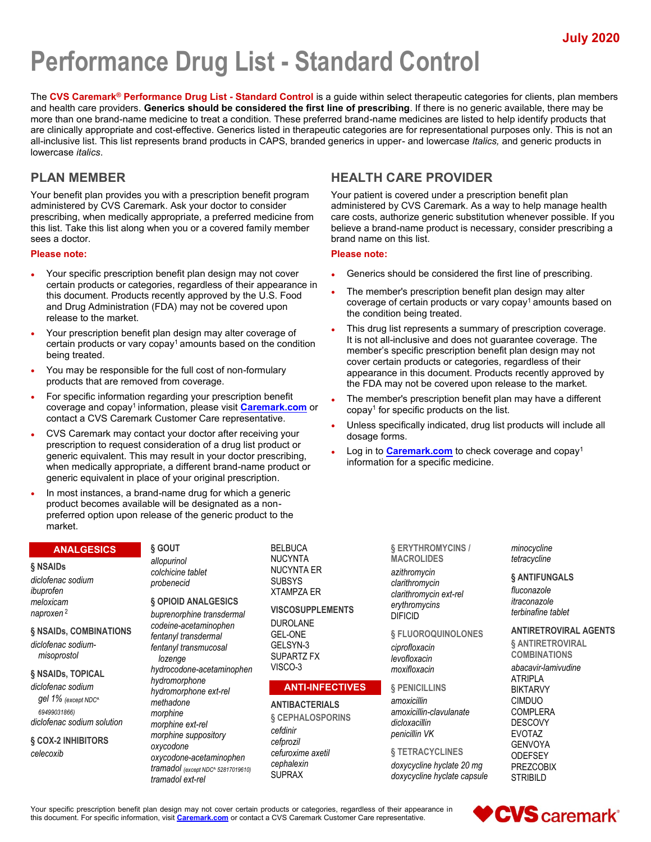# **Performance Drug List - Standard Control**

The **CVS Caremark® Performance Drug List - Standard Control** is a guide within select therapeutic categories for clients, plan members and health care providers. **Generics should be considered the first line of prescribing**. If there is no generic available, there may be more than one brand-name medicine to treat a condition. These preferred brand-name medicines are listed to help identify products that are clinically appropriate and cost-effective. Generics listed in therapeutic categories are for representational purposes only. This is not an all-inclusive list. This list represents brand products in CAPS, branded generics in upper- and lowercase *Italics,* and generic products in lowercase *italics*.

# **PLAN MEMBER**

Your benefit plan provides you with a prescription benefit program administered by CVS Caremark. Ask your doctor to consider prescribing, when medically appropriate, a preferred medicine from this list. Take this list along when you or a covered family member sees a doctor.

## **Please note:**

- Your specific prescription benefit plan design may not cover certain products or categories, regardless of their appearance in this document. Products recently approved by the U.S. Food and Drug Administration (FDA) may not be covered upon release to the market.
- Your prescription benefit plan design may alter coverage of certain products or vary copay<sup>1</sup> amounts based on the condition being treated.
- You may be responsible for the full cost of non-formulary products that are removed from coverage.
- For specific information regarding your prescription benefit coverage and copay<sup>1</sup>information, please visit **[Caremark.com](https://www.caremark.com/)** or contact a CVS Caremark Customer Care representative.
- CVS Caremark may contact your doctor after receiving your prescription to request consideration of a drug list product or generic equivalent. This may result in your doctor prescribing, when medically appropriate, a different brand-name product or generic equivalent in place of your original prescription.
- In most instances, a brand-name drug for which a generic product becomes available will be designated as a nonpreferred option upon release of the generic product to the market.

#### **ANALGESICS**

#### **§ NSAIDs**

*diclofenac sodium ibuprofen meloxicam naproxen* <sup>2</sup>

## **§ NSAIDs, COMBINATIONS**

*diclofenac sodiummisoprostol*

## **§ NSAIDs, TOPICAL**

*diclofenac sodium gel 1% (except NDC^ 69499031866) diclofenac sodium solution*

#### **§ COX-2 INHIBITORS** *celecoxib*

**§ GOUT** *allopurinol colchicine tablet probenecid*

#### **§ OPIOID ANALGESICS**

*buprenorphine transdermal codeine-acetaminophen fentanyl transdermal fentanyl transmucosal lozenge hydrocodone-acetaminophen hydromorphone hydromorphone ext-rel methadone morphine morphine ext-rel morphine suppository oxycodone oxycodone-acetaminophen tramadol (except NDC^ 52817019610) tramadol ext-rel*

BELBUCA NUCYNTA NUCYNTA ER SUBSYS XTAMPZA ER

**VISCOSUPPLEMENTS** DUROLANE GEL-ONE GELSYN-3 SUPARTZ FX

**ANTI-INFECTIVES**

#### **ANTIBACTERIALS**

VISCO-3

**§ CEPHALOSPORINS** *cefdinir cefprozil cefuroxime axetil cephalexin* SUPRAX

**§ ERYTHROMYCINS / MACROLIDES** *azithromycin clarithromycin clarithromycin ext-rel*

**§ FLUOROQUINOLONES**

*amoxicillin-clavulanate*

**§ TETRACYCLINES** *doxycycline hyclate 20 mg*

*erythromycins* DIFICID

*ciprofloxacin levofloxacin moxifloxacin* **§ PENICILLINS** *amoxicillin*

*dicloxacillin penicillin VK* *minocycline tetracycline*

## **§ ANTIFUNGALS**

*fluconazole itraconazole terbinafine tablet*

# **ANTIRETROVIRAL AGENTS**

**§ ANTIRETROVIRAL COMBINATIONS**

*abacavir-lamivudine* ATRIPLA BIKTARVY CIMDUO COMPLERA DESCOVY EVOTAZ GENVOYA **ODEFSEY** 

Your specific prescription benefit plan design may not cover certain products or categories, regardless of their appearance in this document. For specific information, visit **[Caremark.com](https://www.caremark.com/)** or contact a CVS Caremark Customer Care representative.

# **HEALTH CARE PROVIDER**

Your patient is covered under a prescription benefit plan administered by CVS Caremark. As a way to help manage health care costs, authorize generic substitution whenever possible. If you believe a brand-name product is necessary, consider prescribing a brand name on this list.

## **Please note:**

- Generics should be considered the first line of prescribing.
- The member's prescription benefit plan design may alter coverage of certain products or vary copay<sup>1</sup> amounts based on the condition being treated.
- This drug list represents a summary of prescription coverage. It is not all-inclusive and does not guarantee coverage. The member's specific prescription benefit plan design may not cover certain products or categories, regardless of their appearance in this document. Products recently approved by the FDA may not be covered upon release to the market.
- The member's prescription benefit plan may have a different copay<sup>1</sup> for specific products on the list.
- Unless specifically indicated, drug list products will include all dosage forms.
- Log in to **[Caremark.com](https://www.caremark.com/)** to check coverage and copay<sup>1</sup> information for a specific medicine.

*doxycycline hyclate capsule* PREZCOBIX **STRIBILD** 

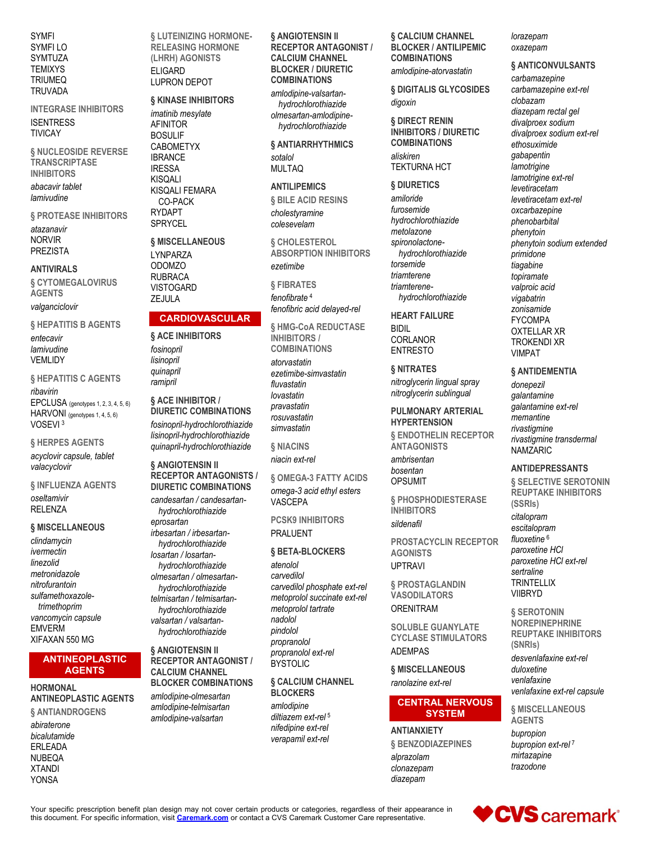**SYMFI** SYMFI LO SYMTUZA **TEMIXYS TRIUMEQ TRUVADA** 

**INTEGRASE INHIBITORS ISENTRESS** 

**TIVICAY** 

§ NUCLEOSIDE REVERSE **TRANSCRIPTASE INHIBITORS** 

abacavir tablet lamivudine

§ PROTEASE INHIBITORS

atazanavir **NORVIR PREZISTA** 

#### **ANTIVIRALS**

**& CYTOMEGALOVIRUS AGFNTS** 

valganciclovir

§ HEPATITIS B AGENTS

entecavir lamivudine **VFMI IDY** 

§ HEPATITIS C AGENTS ribavirin EPCLUSA (genotypes 1, 2, 3, 4, 5, 6) HARVONI (genotypes 1, 4, 5, 6) VOSEVI<sup>3</sup>

**§HERPES AGENTS** 

acyclovir capsule, tablet valacyclovir

§ INFLUENZA AGENTS oseltamivir **RELENZA** 

## § MISCELLANEOUS

clindamycin ivermectin linezolid metronidazole nitrofurantoin sulfamethoxazoletrimethoprim vancomvcin capsule **EMVERM** XIFAXAN 550 MG

#### **ANTINEOPLASTIC AGENTS**

**HORMONAL ANTINEOPLASTIC AGENTS** § ANTIANDROGENS

abiraterone bicalutamide **ERLEADA NUBEQA XTANDI YONSA** 

§ LUTEINIZING HORMONE-**RELEASING HORMONE** (LHRH) AGONISTS **ELIGARD LUPRON DEPOT** 

# § KINASE INHIBITORS

imatinib mesylate **AFINITOR BOSULIF CABOMETYX IBRANCE IRESSA KISOALI KISQALI FEMARA** CO-PACK **RYDAPT** SPRYCEL

#### § MISCELLANEOUS **LYNPARZA ODOMZO RUBRACA VISTOGARD** ZEJULA

## **CARDIOVASCULAR**

**§ ACE INHIBITORS** fosinopril lisinopril quinapril ramipril

§ ACE INHIBITOR / **DIURETIC COMBINATIONS** fosinopril-hydrochlorothiazide lisinopril-hydrochlorothiazide quinapril-hydrochlorothiazide

**§ ANGIOTENSIN II RECEPTOR ANTAGONISTS / DIURETIC COMBINATIONS** 

candesartan / candesartanhydrochlorothiazide eprosartan irbesartan / irbesartanhydrochlorothiazide losartan / losartanhydrochlorothiazide olmesartan / olmesartanhydrochlorothiazide telmisartan / telmisartanhydrochlorothiazide valsartan / valsartanhydrochlorothiazide

§ ANGIOTENSIN II **RECEPTOR ANTAGONIST / CALCIUM CHANNEL BLOCKER COMBINATIONS** amlodipine-olmesartan amlodipine-telmisartan

amlodipine-valsartan

§ ANGIOTENSIN II **RECEPTOR ANTAGONIST / CALCIUM CHANNEL BLOCKER / DIURETIC COMBINATIONS** 

amlodipine-valsartanhydrochlorothiazide olmesartan-amlodipinehydrochlorothiazide

§ ANTIARRHYTHMICS sotalol

**MULTAQ** 

## **ANTILIPEMICS**

§ BILE ACID RESINS cholestyramine colesevelam

**& CHOLESTEROL ABSORPTION INHIBITORS** ezetimibe

**& FIBRATES** fenofibrate<sup>4</sup> fenofibric acid delayed-rel

§ HMG-CoA REDUCTASE **INHIBITORS / COMBINATIONS** 

atorvastatin ezetimibe-simvastatin fluvastatin lovastatin pravastatin .<br>rosuvastatin simvastatin

**6 NIACINS** 

niacin ext-rel

**6 OMEGA-3 FATTY ACIDS** 

omega-3 acid ethyl esters **VASCEPA** 

**PCSK9 INHIBITORS PRALUENT** 

## **& BETA-BLOCKERS**

atenolol carvedilol carvedilol phosphate ext-rel metoprolol succinate ext-rel metoprolol tartrate nadolol pindolol propranolol propranolol ext-rel **BYSTOLIC** 

## **6 CALCIUM CHANNEL BLOCKERS**

amlodipine diltiazem ext-rel<sup>5</sup> nifedipine ext-rel verapamil ext-rel

#### § CALCIUM CHANNEL **BLOCKER / ANTILIPEMIC COMBINATIONS**

amlodipine-atorvastatin

§ DIGITALIS GLYCOSIDES digoxin

§ DIRECT RENIN **INHIBITORS / DIURETIC COMBINATIONS** aliskiren

**TEKTURNA HCT** 

§ DIURETICS

amiloride furosemide hydrochlorothiazide metolazone spironolactonehvdrochlorothiazide torsemide triamterene triamterenehydrochlorothiazide

**HEART FAILURE** 

CORLANOR

**BIDIL** 

**ENTRESTO** § NITRATES nitroglycerin lingual spray nitroglycerin sublingual

**PULMONARY ARTERIAL HYPERTENSION** 

**& ENDOTHELIN RECEPTOR ANTAGONISTS** 

ambrisentan hosentan **OPSUMIT** 

**& PHOSPHODIESTERASE INHIBITORS** sildenafil

**PROSTACYCLIN RECEPTOR AGONISTS UPTRAVI** 

§ PROSTAGLANDIN **VASODILATORS ORENITRAM** 

**SOLUBLE GUANYLATE CYCLASE STIMULATORS ADEMPAS** 

§ MISCELLANEOUS ranolazine ext-rel

## **CENTRAL NERVOUS SYSTEM**

**ANTIANXIETY** § BENZODIAZEPINES alprazolam clonazepam diazepam

#### lorazepam oxazepam

§ ANTICONVULSANTS

carbamazepine carbamazepine ext-rel clobazam diazepam rectal gel divalproex sodium divalproex sodium ext-rel ethosuximide gabapentin lamotrigine lamotrigine ext-rel levetiracetam levetiracetam ext-rel oxcarbazepine phenobarbital phenytoin phenytoin sodium extended primidone tiagabine topiramate valproic acid vigabatrin zonisamide **FYCOMPA OXTELLAR XR TROKENDI XR VIMPAT** 

**& ANTIDEMENTIA** 

donepezil galantamine galantamine ext-rel memantine rivastigmine rivastigmine transdermal **NAMZARIC** 

## **ANTIDEPRESSANTS**

**§ SELECTIVE SEROTONIN REUPTAKE INHIBITORS** (SSRIs) citalopram escitalopram

fluoxetine<sup>6</sup> paroxetine HCI paroxetine HCI ext-rel sertraline **TRINTELLIX VIIBRYD** 

**& SEROTONIN NOREPINEPHRINE REUPTAKE INHIBITORS** (SNRIs) desvenlafaxine ext-rel duloxetine venlafaxine venlafaxine ext-rel capsule

**& MISCELLANEOUS AGENTS** 

bupropion bupropion ext-rel<sup>7</sup> mirtazapine trazodone

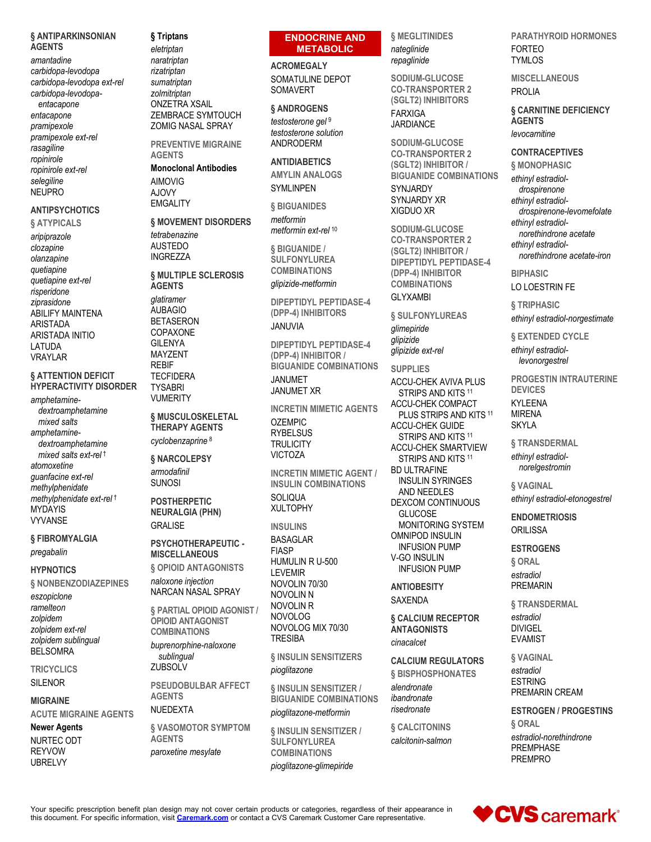#### § ANTIPARKINSONIAN **AGENTS**

amantadine carbidopa-levodopa carbidopa-levodopa ext-rel carbidopa-levodopa-

entacapone entacapone pramipexole pramipexole ext-rel rasagiline ropinirole ropinirole ext-rel selegiline **NEUPRO** 

## **ANTIPSYCHOTICS**

#### **§ ATYPICALS**

aripiprazole clozapine olanzapine quetiapine quetiapine ext-rel risperidone ziprasidone **ABILIFY MAINTENA ARISTADA ARISTADA INITIO** LATUDA **VRAYLAR** 

#### **§ ATTENTION DEFICIT HYPERACTIVITY DISORDER**

amphetaminedextroamphetamine mixed salts amphetaminedextroamphetamine mixed salts ext-rel<sup>t</sup> atomoxetine quanfacine ext-rel methylphenidate methylphenidate ext-rel<sup>t</sup> **MYDAYIS VYVANSF** 

#### § FIBROMYALGIA pregabalin

#### **HYPNOTICS**

§ NONBENZODIAZEPINES

eszopiclone ramelteon zolpidem zolpidem ext-rel zolpidem sublingual **BELSOMRA** 

**TRICYCLICS SILENOR** 

# **MIGRAINE**

**ACUTE MIGRAINE AGENTS** 

#### **Newer Agents**

NURTEC ODT **REYVOW UBRELVY** 

## § Triptans

eletriptan naratriptan rizatriptan sumatriptan zolmitriptan **ONZETRA XSAIL** ZEMBRACE SYMTOUCH **ZOMIG NASAL SPRAY** 

**PREVENTIVE MIGRAINE AGENTS** 

**Monoclonal Antibodies AIMOVIG** 

AJOVY **EMGALITY** 

**§ MOVEMENT DISORDERS** tetrabenazine **AUSTEDO INGREZZA** 

**§ MULTIPLE SCLEROSIS AGENTS** 

glatiramer **AUBAGIO BETASERON** COPAXONE **GII FNYA MAYZENT REBIF TECFIDERA TYSABRI VUMERITY** 

## § MUSCULOSKELETAL **THERAPY AGENTS**

cyclobenzaprine<sup>8</sup>

#### § NARCOLEPSY armodafinil **SUNOSI**

**POSTHERPETIC NEURALGIA (PHN) GRALISE** 

PSYCHOTHERAPEUTIC -**MISCELLANEOUS § OPIOID ANTAGONISTS** 

naloxone injection NARCAN NASAL SPRAY

§ PARTIAL OPIOID AGONIST / **OPIOID ANTAGONIST COMBINATIONS** 

buprenorphine-naloxone sublingual ZUBSOLV

**PSEUDOBULBAR AFFECT AGENTS NUEDEXTA** 

**& VASOMOTOR SYMPTOM AGENTS** paroxetine mesylate

## **ENDOCRINE AND METABOLIC**

**ACROMEGALY** SOMATULINE DEPOT **SOMAVERT** 

§ ANDROGENS

testosterone gel 9 testosterone solution **ANDRODERM** 

**ANTIDIABETICS AMYLIN ANALOGS SYMLINPEN** 

§ BIGUANIDES metformin

metformin ext-rel<sup>10</sup>

§ BIGUANIDE / **SULFONYLUREA COMBINATIONS** alipizide-metformin

**DIPEPTIDYL PEPTIDASE-4** (DPP-4) INHIBITORS **JANUVIA** 

**DIPEPTIDYL PEPTIDASE-4** (DPP-4) INHIBITOR / **BIGUANIDE COMBINATIONS JANUMET** 

**JANUMET XR** 

**INCRETIN MIMETIC AGENTS OZEMPIC RYBELSUS TRULICITY VICTOZA** 

**INCRETIN MIMETIC AGENT / INSULIN COMBINATIONS SOLIQUA XULTOPHY** 

**INSULINS BASAGLAR FIASP** HUMULIN R U-500 **LEVEMIR** NOVOLIN 70/30 **NOVOLIN N NOVOLIN R NOVOLOG** 

NOVOLOG MIX 70/30 **TRESIBA & INSULIN SENSITIZERS** 

pioglitazone

§ INSULIN SENSITIZER / **BIGUANIDE COMBINATIONS** pioglitazone-metformin

§ INSULIN SENSITIZER / **SULFONYLUREA COMBINATIONS** pioglitazone-glimepiride

**§ MEGLITINIDES** nateglinide repaglinide

SODIUM-GLUCOSE **CO-TRANSPORTER 2** (SGLT2) INHIBITORS **FARXIGA JARDIANCE** 

SODIUM-GLUCOSE **CO-TRANSPORTER 2** (SGLT2) INHIBITOR / **BIGUANIDE COMBINATIONS** SYNJARDY **SYNJARDY XR** XIGDUO XR

SODIUM-GLUCOSE **CO-TRANSPORTER 2** (SGLT2) INHIBITOR / **DIPEPTIDYL PEPTIDASE-4** (DPP-4) INHIBITOR **COMBINATIONS GLYXAMBI** 

§ SULFONYLUREAS glimepiride glipizide

glipizide ext-rel **SUPPLIES** ACCU-CHEK AVIVA PLUS STRIPS AND KITS 11 ACCU-CHEK COMPACT PLUS STRIPS AND KITS 11 ACCU-CHEK GUIDE STRIPS AND KITS 11 **ACCU-CHEK SMARTVIEW** STRIPS AND KITS 11 **BD ULTRAFINE INSULIN SYRINGES** AND NEEDLES **DEXCOM CONTINUOUS GLUCOSE MONITORING SYSTEM OMNIPOD INSULIN INFUSION PUMP** 

**V-GO INSULIN INFUSION PUMP ANTIOBESITY** 

**SAXENDA** 

§ CALCIUM RECEPTOR **ANTAGONISTS** cinacalcet

**CALCIUM REGULATORS § BISPHOSPHONATES** 

alendronate ibandronate risedronate

**& CALCITONINS** calcitonin-salmon **PARATHYROID HORMONES FORTEO TYMLOS** 

**MISCELLANEOUS PROLIA** 

**& CARNITINE DEFICIENCY AGENTS** levocarnitine

## **CONTRACEPTIVES**

**§ MONOPHASIC** ethinyl estradioldrospirenone ethinyl estradioldrospirenone-levomefolate ethinyl estradiolnorethindrone acetate ethinyl estradiolnorethindrone acetate-iron

**RIPHASIC** LO LOESTRIN FE

§ TRIPHASIC ethinyl estradiol-norgestimate

§ EXTENDED CYCLE ethinyl estradiollevonorgestrel

**PROGESTIN INTRAUTERINE DEVICES KYLEENA MIRENA** SKYI A

§ TRANSDERMAL ethinyl estradiolnorelgestromin

§ VAGINAL ethinyl estradiol-etonogestrel

**ENDOMETRIOSIS ORILISSA** 

**ESTROGENS** 

§ ORAL estradiol **PREMARIN** 

**& TRANSDERMAL** estradiol **DIVIGEL EVAMIST** 

**& VAGINAL** estradiol **ESTRING** PREMARIN CREAM

**ESTROGEN / PROGESTINS** § ORAL estradiol-norethindrone PREMPHASE **PREMPRO** 



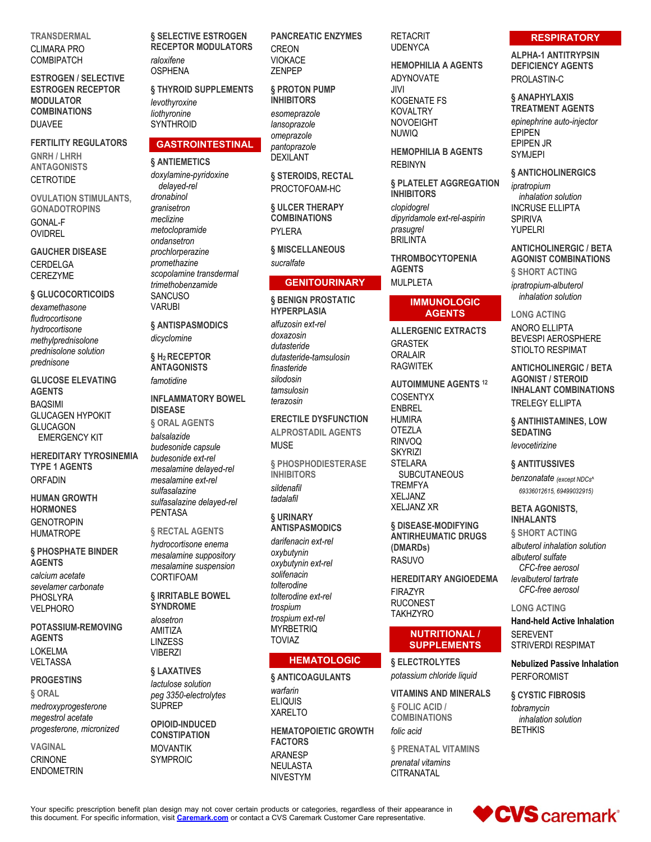**TRANSDERMAL**

CLIMARA PRO **COMBIPATCH** 

**ESTROGEN / SELECTIVE ESTROGEN RECEPTOR MODULATOR COMBINATIONS** DUAVEE

**FERTILITY REGULATORS GNRH / LHRH ANTAGONISTS CETROTIDE** 

**OVULATION STIMULANTS, GONADOTROPINS** GONAL-F OVIDREL

**GAUCHER DISEASE** CERDELGA **CEREZYME** 

#### **§ GLUCOCORTICOIDS**

*dexamethasone fludrocortisone hydrocortisone methylprednisolone prednisolone solution prednisone*

**GLUCOSE ELEVATING AGENTS** BAQSIMI GLUCAGEN HYPOKIT GLUCAGON EMERGENCY KIT

**HEREDITARY TYROSINEMIA TYPE 1 AGENTS** ORFADIN

**HUMAN GROWTH HORMONES GENOTROPIN** HUMATROPE

**§ PHOSPHATE BINDER AGENTS** *calcium acetate sevelamer carbonate* PHOSLYRA VELPHORO

**POTASSIUM-REMOVING AGENTS** LOKELMA VELTASSA

#### **PROGESTINS**

**§ ORAL**

*medroxyprogesterone megestrol acetate progesterone, micronized*

**VAGINAL** CRINONE ENDOMETRIN **§ SELECTIVE ESTROGEN RECEPTOR MODULATORS** *raloxifene* OSPHENA

**§ THYROID SUPPLEMENTS** *levothyroxine liothyronine* **SYNTHROID** 

## **GASTROINTESTINAL**

**§ ANTIEMETICS**

*doxylamine-pyridoxine delayed-rel dronabinol granisetron meclizine metoclopramide ondansetron prochlorperazine promethazine scopolamine transdermal trimethobenzamide* **SANCUSO VARUBI** 

**§ ANTISPASMODICS** *dicyclomine*

**§ H2 RECEPTOR ANTAGONISTS** *famotidine*

## **INFLAMMATORY BOWEL DISEASE**

**§ ORAL AGENTS** *balsalazide budesonide capsule budesonide ext-rel mesalamine delayed-rel mesalamine ext-rel sulfasalazine sulfasalazine delayed-rel* PENTASA

#### **§ RECTAL AGENTS**

*hydrocortisone enema mesalamine suppository mesalamine suspension* CORTIFOAM

**§ IRRITABLE BOWEL SYNDROME**

*alosetron* AMITIZA LINZESS **VIBERZI** 

#### **§ LAXATIVES**

*lactulose solution peg 3350-electrolytes* SUPREP

#### **OPIOID-INDUCED CONSTIPATION** MOVANTIK

SYMPROIC

**PANCREATIC ENZYMES CREON** VIOKACE ZENPEP

**§ PROTON PUMP INHIBITORS** *esomeprazole lansoprazole omeprazole pantoprazole*

DEXILANT **§ STEROIDS, RECTAL**

PROCTOFOAM-HC

**§ ULCER THERAPY COMBINATIONS** PYLERA

**§ MISCELLANEOUS** *sucralfate*

#### **GENITOURINARY**

**§ BENIGN PROSTATIC HYPERPLASIA**

*alfuzosin ext-rel doxazosin dutasteride dutasteride-tamsulosin finasteride silodosin tamsulosin terazosin*

**ERECTILE DYSFUNCTION ALPROSTADIL AGENTS** MUSE

**§ PHOSPHODIESTERASE INHIBITORS** *sildenafil tadalafil*

#### **§ URINARY ANTISPASMODICS**

*darifenacin ext-rel oxybutynin oxybutynin ext-rel solifenacin tolterodine tolterodine ext-rel trospium trospium ext-rel* **MYRBETRIQ** TOVIAZ

## **HEMATOLOGIC**

**§ ANTICOAGULANTS** *warfarin* ELIQUIS XARELTO

**HEMATOPOIETIC GROWTH FACTORS** ARANESP NEULASTA NIVESTYM

**RETACRIT UDENYCA** 

**HEMOPHILIA A AGENTS** ADYNOVATE JIVI KOGENATE FS KOVALTRY NOVOEIGHT NUWIQ

**HEMOPHILIA B AGENTS** REBINYN

**§ PLATELET AGGREGATION INHIBITORS** *clopidogrel dipyridamole ext-rel-aspirin prasugrel* **BRILINTA** 

**THROMBOCYTOPENIA AGENTS** MULPLETA

### **IMMUNOLOGIC AGENTS**

**ALLERGENIC EXTRACTS** GRASTEK ORALAIR RAGWITEK

**AUTOIMMUNE AGENTS <sup>12</sup>** COSENTYX ENBREL **HUMIRA** OTEZLA RINVOQ **SKYRIZI STELARA SUBCUTANEOUS TREMFYA** XELJANZ XELJANZ XR

**§ DISEASE-MODIFYING ANTIRHEUMATIC DRUGS (DMARDs)** RASUVO

**HEREDITARY ANGIOEDEMA** FIRAZYR RUCONEST **TAKHZYRO** 

## **NUTRITIONAL / SUPPLEMENTS**

**§ ELECTROLYTES** *potassium chloride liquid*

**VITAMINS AND MINERALS § FOLIC ACID / COMBINATIONS**

*folic acid*

**§ PRENATAL VITAMINS** *prenatal vitamins* **CITRANATAL** 

## **RESPIRATORY**

**ALPHA-1 ANTITRYPSIN DEFICIENCY AGENTS** PROLASTIN-C

**§ ANAPHYLAXIS TREATMENT AGENTS**

*epinephrine auto-injector* EPIPEN EPIPEN JR SYMJEPI

**§ ANTICHOLINERGICS**

*ipratropium inhalation solution* INCRUSE ELLIPTA SPIRIVA YUPELRI

**ANTICHOLINERGIC / BETA AGONIST COMBINATIONS**

**§ SHORT ACTING** *ipratropium-albuterol inhalation solution*

**LONG ACTING** ANORO ELLIPTA BEVESPI AEROSPHERE STIOLTO RESPIMAT

**ANTICHOLINERGIC / BETA AGONIST / STEROID INHALANT COMBINATIONS** TRELEGY ELLIPTA

**§ ANTIHISTAMINES, LOW SEDATING** *levocetirizine*

#### **§ ANTITUSSIVES**

*benzonatate (except NDCs^ 69336012615, 69499032915)*

**BETA AGONISTS, INHALANTS**

**§ SHORT ACTING** *albuterol inhalation solution albuterol sulfate CFC-free aerosol levalbuterol tartrate CFC-free aerosol*

#### **LONG ACTING**

**Hand-held Active Inhalation** SEREVENT STRIVERDI RESPIMAT

**Nebulized Passive Inhalation** PERFOROMIST

**§ CYSTIC FIBROSIS** *tobramycin inhalation solution* **BETHKIS** 

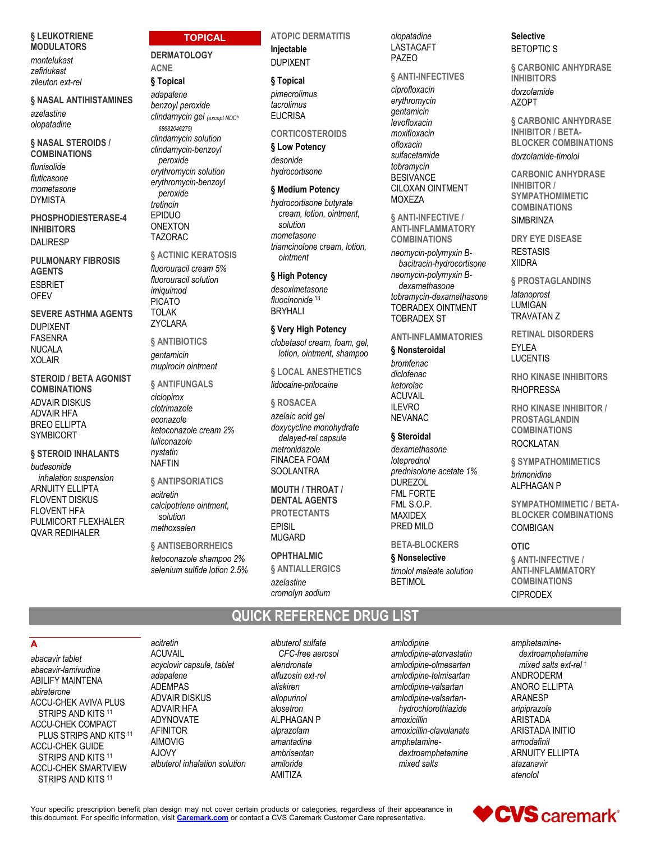#### § LEUKOTRIENE **MODULATORS**

montelukast zafirlukast zileuton ext-rel

#### § NASAL ANTIHISTAMINES

azelastine olopatadine

#### § NASAL STEROIDS / **COMBINATIONS**

flunisolide fluticasone mometasone **DYMISTA** 

PHOSPHODIESTERASE-4 **INHIBITORS DALIRESP** 

**PULMONARY FIBROSIS AGENTS FSBRIFT** OFFV

**SEVERE ASTHMA AGENTS DUPIXENT FASENRA NUCALA XOLAIR** 

**STEROID / BETA AGONIST COMBINATIONS ADVAIR DISKUS ADVAIR HFA BREO ELLIPTA SYMBICORT** 

## § STEROID INHALANTS

budesonide inhalation suspension **ARNUITY ELLIPTA FLOVENT DISKUS FLOVENT HFA** PULMICORT FLEXHALER **QVAR REDIHALER** 

## **TOPICAL**

**DERMATOLOGY ACNE** 

# § Topical

adapalene benzoyl peroxide clindamycin gel (except NDC^ 68682046275) clindamycin solution clindamycin-benzoyl peroxide erythromycin solution erythromycin-benzoyl peroxide tretinoin EPIDUO **ONEXTON TAZORAC** 

## **§ ACTINIC KERATOSIS**

fluorouracil cream 5% fluorouracil solution imiquimod **PICATO TOLAK ZYCLARA** 

#### **& ANTIBIOTICS**

gentamicin mupirocin ointment

§ ANTIFUNGALS

ciclopirox clotrimazole econazole ketoconazole cream 2% luliconazole nystatin **NAFTIN** 

#### **& ANTIPSORIATICS**

acitretin calcipotriene ointment. solution methoxsalen

**§ ANTISEBORRHEICS** ketoconazole shampoo 2% selenium sulfide lotion 2.5% **ATOPIC DERMATITIS** Injectable **DUPIXENT** 

## § Topical

pimecrolimus tacrolimus **EUCRISA** 

## **CORTICOSTEROIDS**

§ Low Potency desonide hydrocortisone

## § Medium Potency

hydrocortisone butvrate cream. lotion. ointment. solution mometasone triamcinolone cream, lotion, ointment

## § High Potency

desoximetasone fluocinonide<sup>13</sup> **BRYHALI** 

## § Very High Potency

clobetasol cream, foam, gel, lotion, ointment, shampoo

**& LOCAL ANESTHETICS** lidocaine-prilocaine

#### § ROSACEA

azelaic acid gel doxycycline monohydrate delayed-rel capsule metronidazole **FINACEA FOAM SOOLANTRA** 

**MOUTH / THROAT / DENTAL AGENTS PROTECTANTS EPISIL MUGARD** 

#### **OPHTHALMIC**

**& ANTIALLERGICS** azelastine cromolyn sodium

QUICK REFERENCE DRUG LIST

olopatadine **LASTACAFT** PAZEO

#### § ANTI-INFECTIVES

ciprofloxacin erythromycin gentamicin levofloxacin moxifloxacin oflovacin sulfacetamide tobramycin **BESIVANCE** CILOXAN OINTMENT **MOXEZA** 

§ ANTI-INFECTIVE / **ANTI-INFLAMMATORY COMBINATIONS** neomycin-polymyxin Bbacitracin-hydrocortisone neomycin-polymyxin Bdexamethasone tobramycin-dexamethasone **TOBRADEX OINTMENT TOBRADEX ST** 

## **ANTI-INFLAMMATORIES**

## § Nonsteroidal

bromfenac diclofenac ketorolac **ACUVAIL II FVRO NEVANAC** 

## § Steroidal

dexamethasone loteprednol prednisolone acetate 1% **DUREZOL FML FORTE** FML S.O.P. **MAXIDEX** PRED MILD

## **BETA-BLOCKERS**

§ Nonselective timolol maleate solution **BFTIMOL** 

**Selective BETOPTICS** 

**& CARBONIC ANHYDRASE INHIBITORS** dorzolamide AZOPT

**& CARBONIC ANHYDRASE INHIBITOR / BETA-BLOCKER COMBINATIONS** dorzolamide-timolol

**CARBONIC ANHYDRASE INHIBITOR / SYMPATHOMIMETIC COMBINATIONS SIMBRINZA** 

**DRY EYE DISEASE RESTASIS XIIDRA** 

**§ PROSTAGLANDINS** latanoprost LUMIGAN **TRAVATAN Z** 

**RETINAL DISORDERS EYLEA LUCENTIS** 

**RHO KINASE INHIBITORS RHOPRESSA** 

RHO KINASE INHIBITOR / **PROSTAGLANDIN COMBINATIONS ROCKLATAN** 

§ SYMPATHOMIMETICS brimonidine **ALPHAGAN P** 

**SYMPATHOMIMETIC / BETA-BLOCKER COMBINATIONS** COMBIGAN

## **OTIC**

§ ANTI-INFECTIVE / **ANTI-INFLAMMATORY COMBINATIONS CIPRODEX** 

A

abacavir tablet abacavir-lamivudine **ABILIFY MAINTENA** abiraterone **ACCU-CHEK AVIVA PLUS** STRIPS AND KITS 11 **ACCU-CHEK COMPACT** PLUS STRIPS AND KITS 11 **ACCU-CHEK GUIDE** STRIPS AND KITS 11 **ACCU-CHEK SMARTVIEW** STRIPS AND KITS 11

**ACUVAIL** acyclovir capsule, tablet adapalene ADEMPAS **ADVAIR DISKUS ADVAIR HFA ADYNOVATE AFINITOR AIMOVIG** A.IOVY albuterol inhalation solution

acitretin

albuterol sulfate CFC-free aerosol alendronate alfuzosin ext-rel aliskiren allopurinol alosetron **ALPHAGAN P** alprazolam amantadine ambrisentan amiloride AMITIZA

amlodipine amlodipine-atorvastatin amlodipine-olmesartan amlodipine-telmisartan amlodipine-valsartan amlodipine-valsartanhydrochlorothiazide amoxicillin amoxicillin-clavulanate amphetaminedextroamphetamine mixed salts

amphetaminedextroamphetamine mixed salts ext-rel<sup>t</sup> ANDRODERM ANORO ELLIPTA **ARANESP** aripiprazole **ARISTADA** ARISTADA INITIO armodafinil **ARNUITY ELLIPTA** atazanavir atenolol

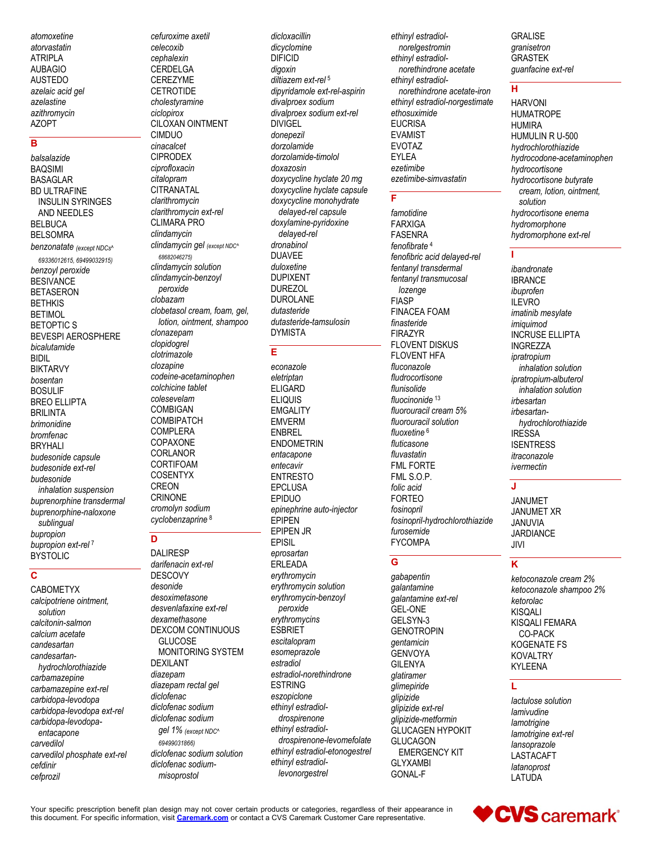atomoxetine atorvastatin **ATRIPLA AUBAGIO AUSTEDO** azelaic acid gel azelastine azithromvcin **AZOPT** 

## B

balsalazide **BAQSIMI BASAGLAR BD ULTRAFINE INSULIN SYRINGES** AND NEEDLES **BELBUCA BELSOMRA** benzonatate (except NDCs^ 69336012615, 69499032915) benzoyl peroxide **BESIVANCE BETASERON BETHKIS BETIMOL BETOPTIC S BEVESPI AEROSPHERE** bicalutamide **BIDIL BIKTARVY** bosentan **BOSULIF BREO ELLIPTA BRILINTA** brimonidine bromfenac **BRYHALI** budesonide capsule budesonide ext-rel budesonide inhalation suspension buprenorphine transdermal buprenorphine-naloxone sublingual bupropion bupropion ext-rel<sup>7</sup> **BYSTOLIC** 

## $\mathbf c$

**CABOMETYX** calcipotriene ointment, solution calcitonin-salmon calcium acetate candesartan candesartanhydrochlorothiazide carbamazepine carbamazepine ext-rel carbidopa-levodopa carbidopa-levodopa ext-rel carbidopa-levodopaentacapone carvedilol carvedilol phosphate ext-rel cefdinir cefprozil

cefuroxime axetil celecoxib cephalexin CERDELGA CEREZYME **CETROTIDE** cholestvramine ciclopirox **CILOXAN OINTMENT CIMDUO** cinacalcet **CIPRODEX** ciprofloxacin citalopram CITRANATAL clarithromycin clarithromycin ext-rel CLIMARA PRO clindamycin clindamycin gel (except NDC<sup>^</sup> 68682046275) clindamycin solution clindamycin-benzoyl peroxide clobazam clobetasol cream, foam, gel, lotion, ointment, shampoo clonazepam clopidogrel clotrimazole clozapine codeine-acetaminophen colchicine tablet colesevelam **COMBIGAN COMBIPATCH COMPLERA** COPAXONE CORLANOR CORTIFOAM **COSENTYX CREON CRINONE** cromolyn sodium cyclobenzaprine<sup>8</sup>

## $\overline{\mathsf{D}}$

**DALIRESP** darifenacin ext-rel **DESCOVY** desonide desoximetasone desvenlafaxine ext-rel dexamethasone DEXCOM CONTINUOUS GLUCOSE MONITORING SYSTEM **DEXILANT** diazepam diazepam rectal gel diclofenac diclofenac sodium diclofenac sodium gel 1% (except NDC<sup>^</sup> 694990318661 diclofenac sodium solution diclofenac sodiummisoprostol

dicloxacillin dicyclomine **DIFICID** digoxin diltiazem ext-rel<sup>5</sup> dipyridamole ext-rel-aspirin divalproex sodium divalproex sodium ext-rel **DIVIGEL** donepezil dorzolamide dorzolamide-timolol doxazosin doxycycline hyclate 20 mg doxycycline hyclate capsule doxycycline monohydrate delayed-rel capsule doxylamine-pyridoxine delayed-rel dronabinol **DUAVEE** duloxetine **DUPIXENT DUREZOL DUROLANE** dutasteride dutasteride-tamsulosin **DYMISTA** 

## E

econazole eletriptan **ELIGARD ELIQUIS EMGALITY EMVERM ENBREL ENDOMETRIN** entacapone entecavir **ENTRESTO EPCLUSA EPIDUO** epinephrine auto-injector **EPIPEN EPIPEN JR EPISIL** eprosartan **ERLEADA** ervthromvcin erythromycin solution erythromycin-benzoyl peroxide erythromycins **ESBRIET** escitalopram esomeprazole estradiol estradiol-norethindrone **ESTRING** eszopiclone ethinyl estradioldrospirenone ethinyl estradioldrospirenone-levomefolate ethinyl estradiol-etonogestrel ethinyl estradiollevonorgestrel

ethinyl estradiolnorelgestromin ethinyl estradiolnorethindrone acetate ethinyl estradiolnorethindrone acetate-iron ethinyl estradiol-norgestimate ethosuximide **EUCRISA EVAMIST EVOTAZ EYLEA** ezetimibe ezetimibe-simvastatin

#### F

famotidine **FARXIGA FASENRA** fenofibrate<sup>4</sup> fenofibric acid delayed-rel fentanyl transdermal fentanyl transmucosal lozenge **FIASP FINACEA FOAM** finasteride **FIRAZYR** FLOVENT DISKUS FLOVENT HFA fluconazole fludrocortisone flunisolide fluocinonide<sup>13</sup> fluorouracil cream 5% fluorouracil solution fluoxetine<sup>6</sup> fluticasone fluvastatin **FML FORTE** FML S.O.P. folic acid **FORTEO** fosinopril fosinopril-hydrochlorothiazide furosemide **FYCOMPA** 

## G

qabapentin galantamine galantamine ext-rel **GEL-ONE** GELSYN-3 **GENOTROPIN** gentamicin **GENVOYA GILENYA** glatiramer glimepiride glipizide glipizide ext-rel glipizide-metformin **GLUCAGEN HYPOKIT GLUCAGON EMERGENCY KIT GLYXAMBI GONAL-F** 

**GRALISE** granisetron **GRASTEK** guanfacine ext-rel

## H

**HARVONI HUMATROPE HUMIRA** HUMULIN R U-500 hydrochlorothiazide hydrocodone-acetaminophen hydrocortisone hydrocortisone butyrate cream. lotion. ointment. solution hydrocortisone enema hydromorphone hydromorphone ext-rel

## т

ibandronate **IBRANCE** ibuprofen **ILEVRO** imatinib mesylate imiquimod **INCRUSE ELLIPTA INGREZZA** ipratropium inhalation solution ipratropium-albuterol inhalation solution irbesartan irbesartanhydrochlorothiazide **IRESSA ISENTRESS** itraconazole ivermectin

#### $\mathbf{J}$

**JANUMET JANUMFT XR JANUVIA JARDIANCE** JIVI

## K

ketoconazole cream 2% ketoconazole shampoo 2% ketorolac **KISQALI KISOALI FEMARA** CO-PACK **KOGENATE FS KOVALTRY KYLEENA** 

## L

lactulose solution lamivudine lamotrigine lamotrigine ext-rel lansoprazole **LASTACAFT** latanoprost LATUDA

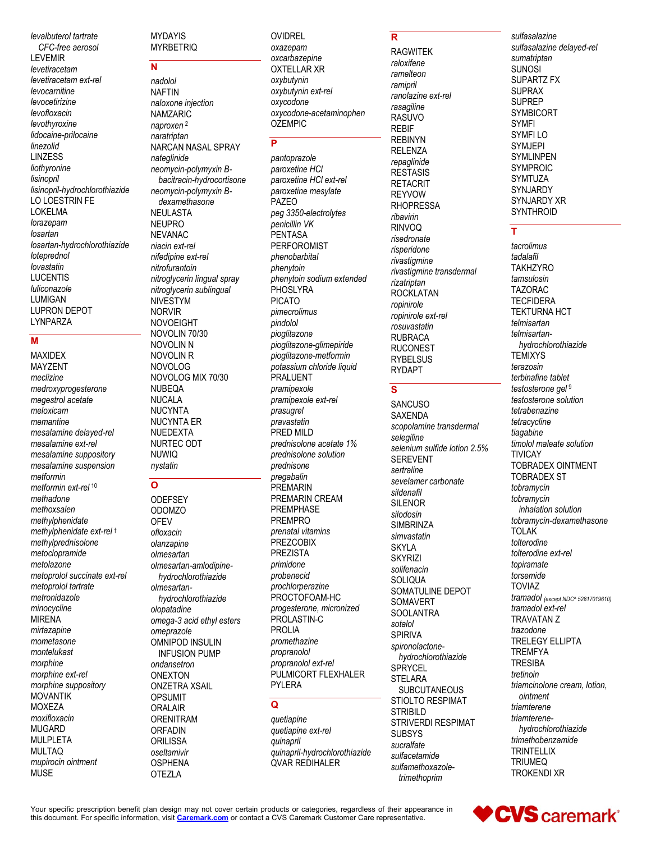levalbuterol tartrate CFC-free aerosol **LEVEMIR** levetiracetam levetiracetam ext-rel levocarnitine levocetirizine levofloxacin levothyroxine lidocaine-prilocaine linezolid **LINZESS** liothyronine lisinopril lisinopril-hydrochlorothiazide LO LOESTRIN FE **LOKELMA** lorazepam losartan losartan-hydrochlorothiazide loteprednol lovastatin **LUCENTIS** luliconazole LUMIGAN LUPRON DEPOT LYNPARZA

## M

**MAXIDEX MAYZENT** meclizine medroxyprogesterone megestrol acetate meloxicam memantine mesalamine delayed-rel mesalamine ext-rel mesalamine suppository mesalamine suspension metformin metformin ext-rel<sup>10</sup> methadone methoxsalen methylphenidate methylphenidate ext-rel<sup>t</sup> methylprednisolone metoclopramide metolazone metoprolol succinate ext-rel metoprolol tartrate metronidazole minocycline **MIRENA** mirtazapine mometasone montelukast morphine morphine ext-rel morphine suppository **MOVANTIK MOXEZA** moxifloxacin **MUGARD MULPLETA MULTAQ** mupirocin ointment **MUSE** 

**MYDAYIS MYRBETRIO** 

# $\overline{\mathbf{M}}$

nadolol **NAFTIN** naloxone injection **NAMZARIC** naproxen<sup>2</sup> naratriptan NARCAN NASAL SPRAY nateglinide neomycin-polymyxin Bbacitracin-hydrocortisone neomycin-polymyxin Bdexamethasone **NEULASTA NEUPRO NEVANAC** niacin ext-rel nifedipine ext-rel nitrofurantoin nitroglycerin lingual spray nitroglycerin sublingual **NIVESTYM NORVIR NOVOEIGHT** NOVOLIN 70/30 NOVOLIN N NOVOLIN R **NOVOLOG** NOVOLOG MIX 70/30 NUBEQA **NUCALA NUCYNTA NUCYNTA ER NUEDEXTA** NURTEC ODT **NUWIO** nystatin

## $\overline{\mathsf{o}}$

**ODEFSEY ODOMZO OFEV** ofloxacin olanzapine olmesartan olmesartan-amlodipinehydrochlorothiazide olmesartanhydrochlorothiazide olopatadine omega-3 acid ethyl esters omeprazole **OMNIPOD INSULIN INFUSION PUMP** ondansetron **ONEXTON ONZETRA XSAIL OPSUMIT ORALAIR ORENITRAM ORFADIN ORILISSA** oseltamivir **OSPHENA OTEZLA** 

**OVIDREL** oxazepam oxcarbazepine **OXTELLAR XR** oxybutynin oxybutynin ext-rel oxycodone oxycodone-acetaminophen **OZEMPIC** 

## Б

pantoprazole paroxetine HCI paroxetine HCI ext-rel paroxetine mesvlate **PAZEO** peg 3350-electrolytes penicillin VK PENTASA **PERFOROMIST** phenobarbital phenytoin phenytoin sodium extended **PHOSLYRA PICATO** pimecrolimus pindolol pioglitazone pioglitazone-glimepiride pioglitazone-metformin potassium chloride liquid **PRALUENT** pramipexole pramipexole ext-rel prasugrel pravastatin PRED MILD prednisolone acetate 1% prednisolone solution prednisone pregabalin **PREMARIN** PREMARIN CREAM PREMPHASF **PREMPRO** prenatal vitamins PREZCOBIX **PREZISTA** primidone probenecid prochlorperazine PROCTOFOAM-HC progesterone, micronized PROLASTIN-C **PROLIA** promethazine propranolol propranolol ext-rel PULMICORT FLEXHALER PYLERA

## $\Omega$

quetiapine quetiapine ext-rel quinapril quinapril-hydrochlorothiazide **OVAR REDIHALER** 

 $\overline{\mathbf{R}}$ 

**RAGWITFK** raloxifene ramelteon ramipril ranolazine ext-rel rasagiline RASUVO **REBIF REBINYN RELENZA** repaglinide **RESTASIS RETACRIT REYVOW RHOPRESSA** ribavirin **RINVOQ** risedronate risperidone rivastigmine rivastigmine transdermal rizatriptan **ROCKLATAN** ropinirole ropinirole ext-rel rosuvastatin **RUBRACA RUCONEST** RYBEL SUS **RYDAPT** 

## $\overline{s}$

**SANCUSO SAXENDA** scopolamine transdermal selegiline selenium sulfide lotion 2.5% **SEREVENT** sertraline sevelamer carbonate sildenafil **SILENOR** silodosin **SIMBRINZA** simvastatin **SKYLA SKYRIZI** solifenacin **SOLIQUA** SOMATULINE DEPOT SOMAVERT **SOOLANTRA** sotalol **SPIRIVA** spironolactonehydrochlorothiazide SPRYCEL **STELARA SUBCUTANEOUS** STIOLTO RESPIMAT **STRIBILD** STRIVERDI RESPIMAT **SUBSYS** sucralfate sulfacetamide sulfamethoxazoletrimethoprim

sulfasalazine sulfasalazine delayed-rel sumatriptan **SUNOSI** SUPARTZ FX **SUPRAX SUPREP SYMBICORT SYMFI** SYMFI LO **SYMJEPI SYMLINPEN SYMPROIC SYMTUZA** SYNJARDY **SYNJARDY XR SYNTHROID** 

## T

tacrolimus tadalafil **TAKHZYRO** tamsulosin **TAZORAC TECFIDERA TEKTURNA HCT** telmisartan telmisartanhydrochlorothiazide **TEMIXYS** terazosin terbinafine tablet testosterone gel 9 testosterone solution tetrabenazine tetracycline tiagabine timolol maleate solution **TIVICAY TOBRADEX OINTMENT TOBRADEX ST** tobramvcin tobramycin inhalation solution tobramycin-dexamethasone **TOI AK** tolterodine tolterodine ext-rel topiramate torsemide **TOVIAZ** tramadol (except NDC^ 52817019610) tramadol ext-rel **TRAVATAN Z** trazodone **TRELEGY ELLIPTA TRFMFYA TRESIBA** tretinoin triamcinolone cream, lotion, ointment triamterene triamterenehydrochlorothiazide trimethobenzamide **TRINTFIIIX TRIUMEQ TROKENDI XR** 

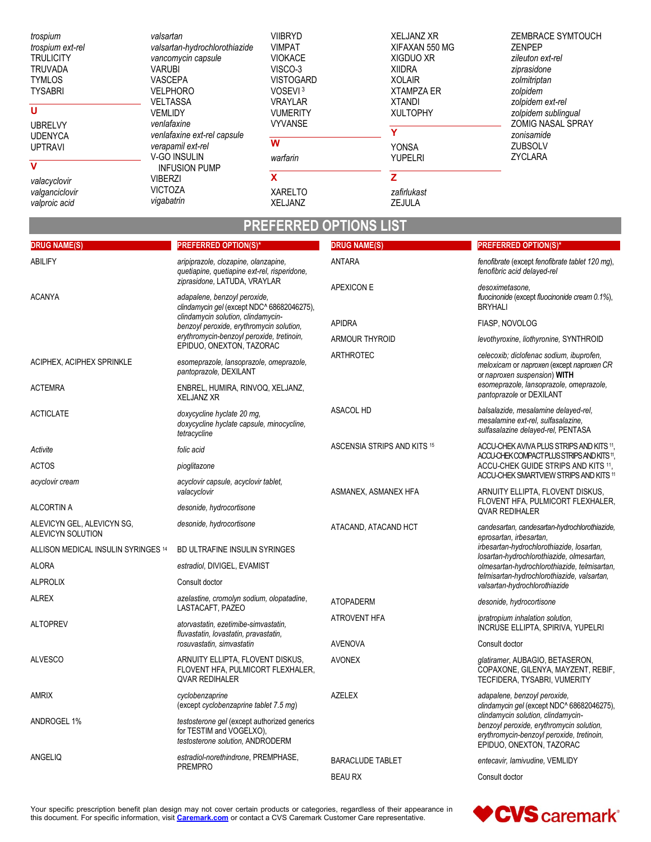| trospium<br>trospium ext-rel<br><b>TRULICITY</b><br><b>TRUVADA</b><br><b>TYMLOS</b><br><b>TYSABRI</b><br>U | valsartan<br>valsartan-hydrochlorothiazide<br>vancomycin capsule<br><b>VARUBI</b><br>VASCEPA<br><b>VELPHORO</b><br><b>VELTASSA</b> | <b>VIIBRYD</b><br><b>VIMPAT</b><br><b>VIOKACE</b><br>VISCO-3<br><b>VISTOGARD</b><br>VOSEVI <sup>3</sup><br><b>VRAYLAR</b> | <b>XELJANZ XR</b><br>XIFAXAN 550 MG<br><b>XIGDUO XR</b><br><b>XIIDRA</b><br><b>XOLAIR</b><br><b>XTAMPZA ER</b><br><b>XTANDI</b> | ZEMBRACE SYMTOUCH<br><b>ZENPEP</b><br>zileuton ext-rel<br>ziprasidone<br>zolmitriptan<br>zolpidem<br>zolpidem ext-rel |
|------------------------------------------------------------------------------------------------------------|------------------------------------------------------------------------------------------------------------------------------------|---------------------------------------------------------------------------------------------------------------------------|---------------------------------------------------------------------------------------------------------------------------------|-----------------------------------------------------------------------------------------------------------------------|
| <b>UBRELVY</b>                                                                                             | <b>VEMLIDY</b><br>venlafaxine                                                                                                      | <b>VUMERITY</b><br><b>VYVANSE</b>                                                                                         | <b>XULTOPHY</b>                                                                                                                 | zolpidem sublingual<br><b>ZOMIG NASAL SPRAY</b>                                                                       |
| <b>UDENYCA</b>                                                                                             | venlafaxine ext-rel capsule                                                                                                        |                                                                                                                           |                                                                                                                                 | zonisamide                                                                                                            |
| <b>UPTRAVI</b>                                                                                             | verapamil ext-rel                                                                                                                  | W                                                                                                                         | <b>YONSA</b>                                                                                                                    | <b>ZUBSOLV</b>                                                                                                        |
| v                                                                                                          | <b>V-GO INSULIN</b>                                                                                                                | warfarin                                                                                                                  | <b>YUPELRI</b>                                                                                                                  | ZYCLARA                                                                                                               |
|                                                                                                            | <b>INFUSION PUMP</b><br><b>VIBERZI</b>                                                                                             | x                                                                                                                         |                                                                                                                                 |                                                                                                                       |
| valacyclovir<br>valganciclovir                                                                             | <b>VICTOZA</b>                                                                                                                     | <b>XARELTO</b>                                                                                                            | zafirlukast                                                                                                                     |                                                                                                                       |
| valproic acid                                                                                              | vigabatrin                                                                                                                         | <b>XELJANZ</b>                                                                                                            | <b>ZEJULA</b>                                                                                                                   |                                                                                                                       |

# **PREFERRED OPTIONS LIST**

| <b>DRUG NAME(S)</b>                             | <b>PREFERRED OPTION(S)*</b>                                                                                  | <b>DRUG NAME(S)</b>         | <b>PREFERRED OPTION(S)*</b>                                                                                                                                        |
|-------------------------------------------------|--------------------------------------------------------------------------------------------------------------|-----------------------------|--------------------------------------------------------------------------------------------------------------------------------------------------------------------|
| <b>ABILIFY</b>                                  | aripiprazole, clozapine, olanzapine,<br>quetiapine, quetiapine ext-rel, risperidone,                         | <b>ANTARA</b>               | fenofibrate (except fenofibrate tablet 120 mg),<br>fenofibric acid delayed-rel                                                                                     |
| <b>ACANYA</b>                                   | ziprasidone, LATUDA, VRAYLAR<br>adapalene, benzoyl peroxide,<br>clindamycin gel (except NDC^ 68682046275),   | <b>APEXICON E</b>           | desoximetasone,<br>fluocinonide (except fluocinonide cream 0.1%),<br><b>BRYHALI</b>                                                                                |
|                                                 | clindamycin solution, clindamycin-<br>benzoyl peroxide, erythromycin solution,                               | <b>APIDRA</b>               | FIASP, NOVOLOG                                                                                                                                                     |
|                                                 | erythromycin-benzoyl peroxide, tretinoin,                                                                    | <b>ARMOUR THYROID</b>       | levothyroxine, liothyronine, SYNTHROID                                                                                                                             |
| ACIPHEX, ACIPHEX SPRINKLE                       | EPIDUO, ONEXTON, TAZORAC<br>esomeprazole, lansoprazole, omeprazole,<br>pantoprazole, DEXILANT                | <b>ARTHROTEC</b>            | celecoxib; diclofenac sodium, ibuprofen,<br>meloxicam or naproxen (except naproxen CR<br>or naproxen suspension) WITH                                              |
| <b>ACTEMRA</b>                                  | ENBREL, HUMIRA, RINVOQ, XELJANZ,<br><b>XELJANZ XR</b>                                                        |                             | esomeprazole, lansoprazole, omeprazole,<br>pantoprazole or DEXILANT                                                                                                |
| <b>ACTICLATE</b>                                | doxycycline hyclate 20 mg,<br>doxycycline hyclate capsule, minocycline,<br>tetracycline                      | <b>ASACOL HD</b>            | balsalazide, mesalamine delayed-rel,<br>mesalamine ext-rel, sulfasalazine,<br>sulfasalazine delayed-rel, PENTASA                                                   |
| Activite                                        | folic acid                                                                                                   | ASCENSIA STRIPS AND KITS 15 | ACCU-CHEK AVIVA PLUS STRIPS AND KITS 11,<br>ACCU-CHEK COMPACT PLUS STRIPS AND KITS 11.                                                                             |
| <b>ACTOS</b>                                    | pioglitazone                                                                                                 |                             | ACCU-CHEK GUIDE STRIPS AND KITS 11,                                                                                                                                |
| acyclovir cream                                 | acyclovir capsule, acyclovir tablet,<br>valacyclovir                                                         | ASMANEX, ASMANEX HFA        | ACCU-CHEK SMARTVIEW STRIPS AND KITS 11<br>ARNUITY ELLIPTA, FLOVENT DISKUS,                                                                                         |
| ALCORTIN A                                      | desonide, hydrocortisone                                                                                     |                             | FLOVENT HFA, PULMICORT FLEXHALER,<br><b>QVAR REDIHALER</b>                                                                                                         |
| ALEVICYN GEL, ALEVICYN SG,<br>ALEVICYN SOLUTION | desonide, hydrocortisone                                                                                     | ATACAND, ATACAND HCT        | candesartan, candesartan-hydrochlorothiazide,<br>eprosartan, irbesartan,<br>irbesartan-hydrochlorothiazide, losartan,<br>losartan-hydrochlorothiazide, olmesartan, |
| ALLISON MEDICAL INSULIN SYRINGES 14             | BD ULTRAFINE INSULIN SYRINGES                                                                                |                             |                                                                                                                                                                    |
| <b>ALORA</b>                                    | estradiol, DIVIGEL, EVAMIST                                                                                  |                             | olmesartan-hydrochlorothiazide, telmisartan,                                                                                                                       |
| <b>ALPROLIX</b>                                 | Consult doctor                                                                                               |                             | telmisartan-hydrochlorothiazide, valsartan,<br>valsartan-hydrochlorothiazide                                                                                       |
| <b>ALREX</b>                                    | azelastine, cromolyn sodium, olopatadine,<br>LASTACAFT, PAZEO                                                | <b>ATOPADERM</b>            | desonide, hydrocortisone                                                                                                                                           |
| <b>ALTOPREV</b>                                 | atorvastatin, ezetimibe-simvastatin,<br>fluvastatin, lovastatin, pravastatin,                                | <b>ATROVENT HFA</b>         | ipratropium inhalation solution,<br>INCRUSE ELLIPTA, SPIRIVA, YUPELRI                                                                                              |
|                                                 | rosuvastatin, simvastatin                                                                                    | <b>AVENOVA</b>              | Consult doctor                                                                                                                                                     |
| <b>ALVESCO</b>                                  | ARNUITY ELLIPTA, FLOVENT DISKUS,<br>FLOVENT HFA, PULMICORT FLEXHALER,<br><b>QVAR REDIHALER</b>               | <b>AVONEX</b>               | glatiramer, AUBAGIO, BETASERON,<br>COPAXONE, GILENYA, MAYZENT, REBIF,<br>TECFIDERA, TYSABRI, VUMERITY                                                              |
| <b>AMRIX</b>                                    | cyclobenzaprine<br>(except cyclobenzaprine tablet 7.5 mg)                                                    | <b>AZELEX</b>               | adapalene, benzoyl peroxide,<br>clindamycin gel (except NDC^ 68682046275),                                                                                         |
| ANDROGEL 1%                                     | testosterone gel (except authorized generics<br>for TESTIM and VOGELXO),<br>testosterone solution, ANDRODERM |                             | clindamycin solution, clindamycin-<br>benzoyl peroxide, erythromycin solution,<br>erythromycin-benzoyl peroxide, tretinoin,<br>EPIDUO, ONEXTON, TAZORAC            |
| ANGELIQ                                         | estradiol-norethindrone, PREMPHASE,<br><b>PREMPRO</b>                                                        | <b>BARACLUDE TABLET</b>     | entecavir, lamivudine, VEMLIDY                                                                                                                                     |
|                                                 |                                                                                                              | <b>BEAU RX</b>              | Consult doctor                                                                                                                                                     |

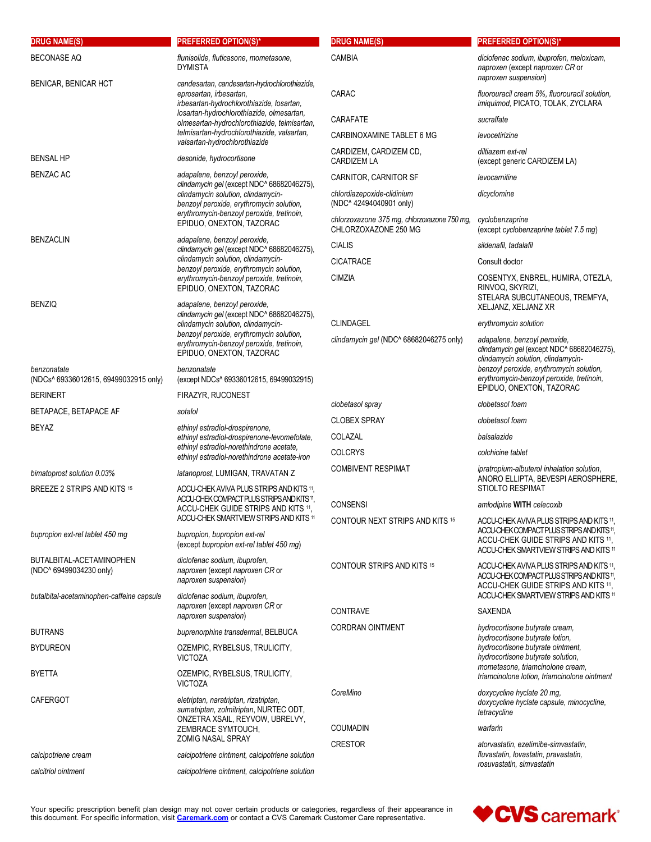| <b>DRUG NAME(S)</b>                                       | <b>PREFERRED OPTION(S)*</b>                                                                                           | <b>DRUG NAME(S)</b>                                                 | <b>PREFERRED OPTION(S)*</b>                                                                                                                                             |
|-----------------------------------------------------------|-----------------------------------------------------------------------------------------------------------------------|---------------------------------------------------------------------|-------------------------------------------------------------------------------------------------------------------------------------------------------------------------|
| <b>BECONASE AQ</b>                                        | flunisolide, fluticasone, mometasone,<br><b>DYMISTA</b>                                                               | <b>CAMBIA</b>                                                       | diclofenac sodium, ibuprofen, meloxicam,<br>naproxen (except naproxen CR or<br>naproxen suspension)                                                                     |
| BENICAR, BENICAR HCT                                      | candesartan, candesartan-hydrochlorothiazide,<br>eprosartan, irbesartan,<br>irbesartan-hydrochlorothiazide, losartan, | CARAC                                                               | fluorouracil cream 5%, fluorouracil solution,<br>imiguimod, PICATO, TOLAK, ZYCLARA                                                                                      |
|                                                           | losartan-hydrochlorothiazide, olmesartan,<br>olmesartan-hydrochlorothiazide, telmisartan,                             | CARAFATE                                                            | sucralfate                                                                                                                                                              |
|                                                           | telmisartan-hydrochlorothiazide, valsartan,<br>valsartan-hydrochlorothiazide                                          | CARBINOXAMINE TABLET 6 MG                                           | levocetirizine                                                                                                                                                          |
| <b>BENSAL HP</b>                                          | desonide, hydrocortisone                                                                                              | CARDIZEM, CARDIZEM CD,<br><b>CARDIZEM LA</b>                        | diltiazem ext-rel<br>(except generic CARDIZEM LA)                                                                                                                       |
| <b>BENZAC AC</b>                                          | adapalene, benzoyl peroxide,<br>clindamycin gel (except NDC^ 68682046275),                                            | CARNITOR, CARNITOR SF                                               | levocarnitine                                                                                                                                                           |
|                                                           | clindamycin solution, clindamycin-<br>benzoyl peroxide, erythromycin solution,                                        | chlordiazepoxide-clidinium<br>(NDC^42494040901 only)                | dicyclomine                                                                                                                                                             |
|                                                           | erythromycin-benzoyl peroxide, tretinoin,<br>EPIDUO, ONEXTON, TAZORAC                                                 | chlorzoxazone 375 mg, chlorzoxazone 750 mg,<br>CHLORZOXAZONE 250 MG | cyclobenzaprine<br>(except cyclobenzaprine tablet 7.5 mg)                                                                                                               |
| <b>BENZACLIN</b>                                          | adapalene, benzoyl peroxide,<br>clindamycin gel (except NDC^ 68682046275),                                            | <b>CIALIS</b>                                                       | sildenafil, tadalafil                                                                                                                                                   |
|                                                           | clindamycin solution, clindamycin-<br>benzoyl peroxide, erythromycin solution,                                        | <b>CICATRACE</b>                                                    | Consult doctor                                                                                                                                                          |
|                                                           | erythromycin-benzoyl peroxide, tretinoin,                                                                             | <b>CIMZIA</b>                                                       | COSENTYX, ENBREL, HUMIRA, OTEZLA,                                                                                                                                       |
| <b>BENZIQ</b>                                             | EPIDUO, ONEXTON, TAZORAC<br>adapalene, benzoyl peroxide,                                                              |                                                                     | RINVOQ, SKYRIZI,<br>STELARA SUBCUTANEOUS, TREMFYA,<br>XELJANZ, XELJANZ XR                                                                                               |
|                                                           | clindamycin gel (except NDC^ 68682046275),<br>clindamycin solution, clindamycin-                                      | CLINDAGEL                                                           | erythromycin solution                                                                                                                                                   |
|                                                           | benzoyl peroxide, erythromycin solution,<br>erythromycin-benzoyl peroxide, tretinoin,<br>EPIDUO, ONEXTON, TAZORAC     | clindamycin gel (NDC^ 68682046275 only)                             | adapalene, benzoyl peroxide,<br>clindamycin gel (except NDC^ 68682046275),<br>clindamycin solution, clindamycin-                                                        |
| benzonatate<br>(NDCs^ 69336012615, 69499032915 only)      | benzonatate<br>(except NDCs^ 69336012615, 69499032915)                                                                |                                                                     | benzoyl peroxide, erythromycin solution,<br>erythromycin-benzoyl peroxide, tretinoin,                                                                                   |
| <b>BERINERT</b>                                           | <b>FIRAZYR, RUCONEST</b>                                                                                              |                                                                     | EPIDUO, ONEXTON, TAZORAC                                                                                                                                                |
| BETAPACE, BETAPACE AF                                     | sotalol                                                                                                               | clobetasol spray<br><b>CLOBEX SPRAY</b>                             | clobetasol foam<br>clobetasol foam                                                                                                                                      |
| BEYAZ                                                     | ethinyl estradiol-drospirenone,                                                                                       | COLAZAL                                                             | balsalazide                                                                                                                                                             |
|                                                           | ethinyl estradiol-drospirenone-levomefolate,<br>ethinyl estradiol-norethindrone acetate,                              | <b>COLCRYS</b>                                                      | colchicine tablet                                                                                                                                                       |
|                                                           | ethinyl estradiol-norethindrone acetate-iron                                                                          | <b>COMBIVENT RESPIMAT</b>                                           | ipratropium-albuterol inhalation solution,                                                                                                                              |
| bimatoprost solution 0.03%<br>BREEZE 2 STRIPS AND KITS 15 | latanoprost, LUMIGAN, TRAVATAN Z<br>ACCU-CHEK AVIVA PLUS STRIPS AND KITS 11,                                          |                                                                     | ANORO ELLIPTA, BEVESPI AEROSPHERE,<br>STIOLTO RESPIMAT                                                                                                                  |
|                                                           | ACCU-CHEK COMPACT PLUS STRIPS AND KITS 11.<br>ACCU-CHEK GUIDE STRIPS AND KITS 11.                                     | <b>CONSENSI</b>                                                     | amlodipine WITH celecoxib                                                                                                                                               |
|                                                           | ACCU-CHEK SMARTVIEW STRIPS AND KITS 11                                                                                | CONTOUR NEXT STRIPS AND KITS 15                                     | ACCU-CHEK AVIVA PLUS STRIPS AND KITS 11                                                                                                                                 |
| bupropion ext-rel tablet 450 mg                           | bupropion, bupropion ext-rel<br>(except bupropion ext-rel tablet 450 mg)                                              |                                                                     | ACCU-CHEK COMPACT PLUS STRIPS AND KITS 11,<br>ACCU-CHEK GUIDE STRIPS AND KITS 11.<br>ACCU-CHEK SMARTVIEW STRIPS AND KITS 11                                             |
| BUTALBITAL-ACETAMINOPHEN<br>(NDC^ 69499034230 only)       | diclofenac sodium, ibuprofen,<br>naproxen (except naproxen CR or<br>naproxen suspension)                              | <b>CONTOUR STRIPS AND KITS 15</b>                                   | ACCU-CHEK AVIVA PLUS STRIPS AND KITS 11,<br>ACCU-CHEK COMPACT PLUS STRIPS AND KITS 11,<br>ACCU-CHEK GUIDE STRIPS AND KITS 11,<br>ACCU-CHEK SMARTVIEW STRIPS AND KITS 11 |
| butalbital-acetaminophen-caffeine capsule                 | diclofenac sodium, ibuprofen,<br>naproxen (except naproxen CR or<br>naproxen suspension)                              | <b>CONTRAVE</b>                                                     | <b>SAXENDA</b>                                                                                                                                                          |
| <b>BUTRANS</b>                                            | buprenorphine transdermal, BELBUCA                                                                                    | <b>CORDRAN OINTMENT</b>                                             | hydrocortisone butyrate cream,<br>hydrocortisone butyrate lotion,                                                                                                       |
| <b>BYDUREON</b>                                           | OZEMPIC, RYBELSUS, TRULICITY,                                                                                         |                                                                     | hydrocortisone butyrate ointment,                                                                                                                                       |
| <b>BYETTA</b>                                             | <b>VICTOZA</b><br>OZEMPIC, RYBELSUS, TRULICITY,                                                                       |                                                                     | hydrocortisone butyrate solution,<br>mometasone, triamcinolone cream,<br>triamcinolone lotion, triamcinolone ointment                                                   |
| <b>CAFERGOT</b>                                           | <b>VICTOZA</b>                                                                                                        | CoreMino                                                            | doxycycline hyclate 20 mg,                                                                                                                                              |
|                                                           | eletriptan, naratriptan, rizatriptan,<br>sumatriptan, zolmitriptan, NURTEC ODT,<br>ONZETRA XSAIL, REYVOW, UBRELVY,    |                                                                     | doxycycline hyclate capsule, minocycline,<br>tetracycline                                                                                                               |
|                                                           | ZEMBRACE SYMTOUCH,<br>ZOMIG NASAL SPRAY                                                                               | <b>COUMADIN</b>                                                     | warfarin                                                                                                                                                                |
| calcipotriene cream                                       | calcipotriene ointment, calcipotriene solution                                                                        | <b>CRESTOR</b>                                                      | atorvastatin, ezetimibe-simvastatin,<br>fluvastatin, lovastatin, pravastatin,                                                                                           |
| calcitriol ointment                                       | calcipotriene ointment, calcipotriene solution                                                                        |                                                                     | rosuvastatin, simvastatin                                                                                                                                               |
|                                                           |                                                                                                                       |                                                                     |                                                                                                                                                                         |

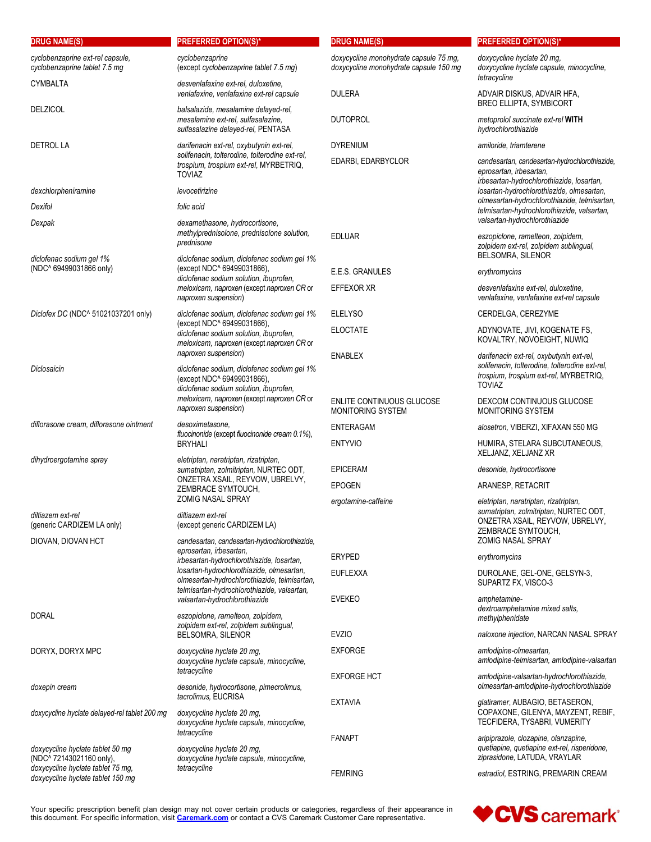| <b>DRUG NAME(S)</b>                                                    | <b>PREFERRED OPTION(S)*</b>                                                                                                                 | <b>DRUG NAME(S)</b>                                                              | <b>PREFERRED OPTION(S)*</b>                                                                                                                                          |
|------------------------------------------------------------------------|---------------------------------------------------------------------------------------------------------------------------------------------|----------------------------------------------------------------------------------|----------------------------------------------------------------------------------------------------------------------------------------------------------------------|
| cyclobenzaprine ext-rel capsule,<br>cyclobenzaprine tablet 7.5 mg      | cyclobenzaprine<br>(except cyclobenzaprine tablet 7.5 mg)                                                                                   | doxycycline monohydrate capsule 75 mg,<br>doxycycline monohydrate capsule 150 mg | doxycycline hyclate 20 mg,<br>doxycycline hyclate capsule, minocycline,                                                                                              |
| <b>CYMBALTA</b>                                                        | desvenlafaxine ext-rel, duloxetine,<br>venlafaxine, venlafaxine ext-rel capsule                                                             | <b>DULERA</b>                                                                    | tetracycline<br>ADVAIR DISKUS, ADVAIR HFA,                                                                                                                           |
| <b>DELZICOL</b>                                                        | balsalazide, mesalamine delayed-rel,<br>mesalamine ext-rel, sulfasalazine,<br>sulfasalazine delayed-rel, PENTASA                            | <b>DUTOPROL</b>                                                                  | <b>BREO ELLIPTA, SYMBICORT</b><br>metoprolol succinate ext-rel WITH<br>hydrochlorothiazide                                                                           |
| <b>DETROL LA</b>                                                       | darifenacin ext-rel, oxybutynin ext-rel,                                                                                                    | <b>DYRENIUM</b>                                                                  | amiloride, triamterene                                                                                                                                               |
|                                                                        | solifenacin, tolterodine, tolterodine ext-rel,<br>trospium, trospium ext-rel, MYRBETRIQ,<br><b>TOVIAZ</b>                                   | EDARBI, EDARBYCLOR                                                               | candesartan, candesartan-hydrochlorothiazide,<br>eprosartan, irbesartan,<br>irbesartan-hydrochlorothiazide, losartan,                                                |
| dexchlorpheniramine                                                    | levocetirizine                                                                                                                              |                                                                                  | losartan-hydrochlorothiazide, olmesartan,                                                                                                                            |
| Dexifol                                                                | folic acid                                                                                                                                  |                                                                                  | olmesartan-hydrochlorothiazide, telmisartan,<br>telmisartan-hydrochlorothiazide, valsartan,                                                                          |
| Dexpak                                                                 | dexamethasone, hydrocortisone,<br>methylprednisolone, prednisolone solution,<br>prednisone                                                  | <b>EDLUAR</b>                                                                    | valsartan-hydrochlorothiazide<br>eszopiclone, ramelteon, zolpidem,                                                                                                   |
| diclofenac sodium gel 1%                                               | diclofenac sodium, diclofenac sodium gel 1%                                                                                                 |                                                                                  | zolpidem ext-rel, zolpidem sublingual,<br>BELSOMRA, SILENOR                                                                                                          |
| (NDC^ 69499031866 only)                                                | (except NDC^ 69499031866),<br>diclofenac sodium solution, ibuprofen,                                                                        | E.E.S. GRANULES                                                                  | erythromycins                                                                                                                                                        |
|                                                                        | meloxicam, naproxen (except naproxen CR or<br>naproxen suspension)                                                                          | <b>EFFEXOR XR</b>                                                                | desvenlafaxine ext-rel, duloxetine,<br>venlafaxine, venlafaxine ext-rel capsule                                                                                      |
| Diclofex DC (NDC^ 51021037201 only)                                    | diclofenac sodium, diclofenac sodium gel 1%                                                                                                 | <b>ELELYSO</b>                                                                   | CERDELGA, CEREZYME                                                                                                                                                   |
|                                                                        | (except NDC^ 69499031866),<br>diclofenac sodium solution, ibuprofen,<br>meloxicam, naproxen (except naproxen CR or                          | <b>ELOCTATE</b>                                                                  | ADYNOVATE, JIVI, KOGENATE FS,<br>KOVALTRY, NOVOEIGHT, NUWIQ                                                                                                          |
| Diclosaicin                                                            | naproxen suspension)<br>diclofenac sodium, diclofenac sodium gel 1%<br>(except NDC^ 69499031866),<br>diclofenac sodium solution, ibuprofen, | <b>ENABLEX</b>                                                                   | darifenacin ext-rel, oxybutynin ext-rel,<br>solifenacin, tolterodine, tolterodine ext-rel,<br>trospium, trospium ext-rel, MYRBETRIQ,<br><b>TOVIAZ</b>                |
|                                                                        | meloxicam, naproxen (except naproxen CR or<br>naproxen suspension)                                                                          | ENLITE CONTINUOUS GLUCOSE<br>MONITORING SYSTEM                                   | DEXCOM CONTINUOUS GLUCOSE<br>MONITORING SYSTEM                                                                                                                       |
| diflorasone cream, diflorasone ointment                                | desoximetasone,<br>fluocinonide (except fluocinonide cream 0.1%),                                                                           | <b>ENTERAGAM</b>                                                                 | alosetron, VIBERZI, XIFAXAN 550 MG                                                                                                                                   |
| dihydroergotamine spray                                                | <b>BRYHALI</b><br>eletriptan, naratriptan, rizatriptan,                                                                                     | <b>ENTYVIO</b>                                                                   | HUMIRA, STELARA SUBCUTANEOUS,<br>XELJANZ, XELJANZ XR                                                                                                                 |
|                                                                        | sumatriptan, zolmitriptan, NURTEC ODT,<br>ONZETRA XSAIL, REYVOW, UBRELVY,<br>ZEMBRACE SYMTOUCH,                                             | <b>EPICERAM</b>                                                                  | desonide, hydrocortisone                                                                                                                                             |
|                                                                        |                                                                                                                                             | <b>EPOGEN</b>                                                                    | ARANESP, RETACRIT                                                                                                                                                    |
| diltiazem ext-rel<br>(generic CARDIZEM LA only)<br>DIOVAN, DIOVAN HCT  | <b>ZOMIG NASAL SPRAY</b><br>diltiazem ext-rel<br>(except generic CARDIZEM LA)<br>candesartan, candesartan-hydrochlorothiazide,              | ergotamine-caffeine                                                              | eletriptan, naratriptan, rizatriptan,<br>sumatriptan, zolmitriptan, NURTEC ODT,<br>ONZETRA XSAIL, REYVOW, UBRELVY,<br>ZEMBRACE SYMTOUCH,<br><b>ZOMIG NASAL SPRAY</b> |
|                                                                        | eprosartan, irbesartan,                                                                                                                     | <b>ERYPED</b>                                                                    | erythromycins                                                                                                                                                        |
|                                                                        | irbesartan-hydrochlorothiazide, losartan,<br>losartan-hydrochlorothiazide, olmesartan,                                                      | <b>EUFLEXXA</b>                                                                  | DUROLANE, GEL-ONE, GELSYN-3,                                                                                                                                         |
|                                                                        | olmesartan-hydrochlorothiazide, telmisartan,<br>telmisartan-hydrochlorothiazide, valsartan,                                                 |                                                                                  | SUPARTZ FX, VISCO-3                                                                                                                                                  |
| <b>DORAL</b>                                                           | valsartan-hydrochlorothiazide<br>eszopiclone, ramelteon, zolpidem,                                                                          | <b>EVEKEO</b>                                                                    | amphetamine-<br>dextroamphetamine mixed salts.<br>methylphenidate                                                                                                    |
|                                                                        | zolpidem ext-rel, zolpidem sublingual,<br>BELSOMRA, SILENOR                                                                                 | <b>EVZIO</b>                                                                     | naloxone injection, NARCAN NASAL SPRAY                                                                                                                               |
| DORYX, DORYX MPC                                                       | doxycycline hyclate 20 mg,<br>doxycycline hyclate capsule, minocycline,                                                                     | <b>EXFORGE</b>                                                                   | amlodipine-olmesartan,<br>amlodipine-telmisartan, amlodipine-valsartan                                                                                               |
| doxepin cream                                                          | tetracycline<br>desonide, hydrocortisone, pimecrolimus,                                                                                     | <b>EXFORGE HCT</b>                                                               | amlodipine-valsartan-hydrochlorothiazide,<br>olmesartan-amlodipine-hydrochlorothiazide                                                                               |
| doxycycline hyclate delayed-rel tablet 200 mg                          | tacrolimus, EUCRISA<br>doxycycline hyclate 20 mg,<br>doxycycline hyclate capsule, minocycline,                                              | <b>EXTAVIA</b>                                                                   | glatiramer, AUBAGIO, BETASERON,<br>COPAXONE, GILENYA, MAYZENT, REBIF,<br>TECFIDERA, TYSABRI, VUMERITY                                                                |
| doxycycline hyclate tablet 50 mg<br>(NDC^ 72143021160 only),           | tetracycline<br>doxycycline hyclate 20 mg,<br>doxycycline hyclate capsule, minocycline,                                                     | <b>FANAPT</b>                                                                    | aripiprazole, clozapine, olanzapine,<br>quetiapine, quetiapine ext-rel, risperidone,<br>ziprasidone, LATUDA, VRAYLAR                                                 |
| doxycycline hyclate tablet 75 mg,<br>doxycycline hyclate tablet 150 mg | tetracycline                                                                                                                                | <b>FEMRING</b>                                                                   | estradiol, ESTRING, PREMARIN CREAM                                                                                                                                   |

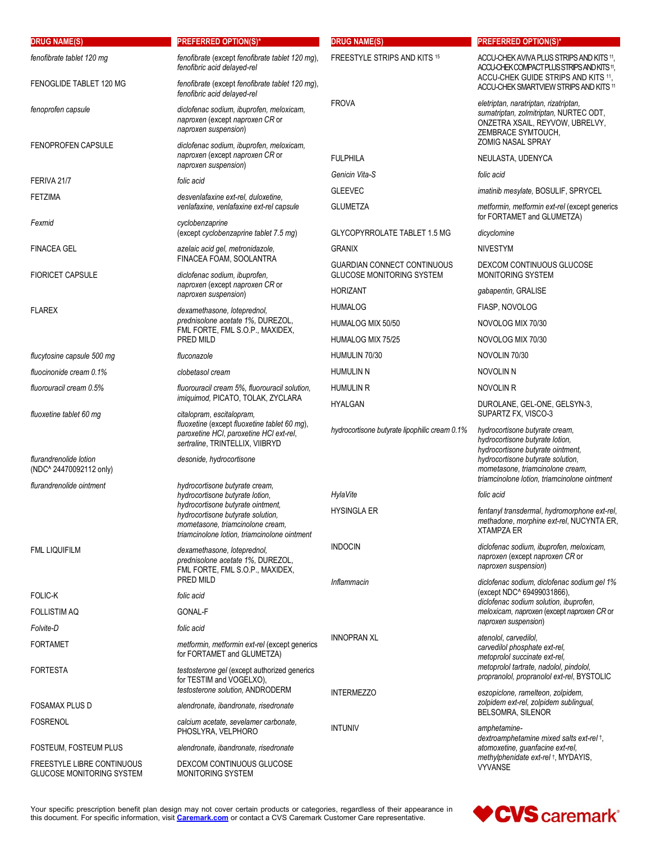| <b>DRUG NAME(S)</b>                                            | <b>PREFERRED OPTION(S)*</b>                                                                                                                                | <b>DRUG NAME(S)</b>                                                    | <b>PREFERRED OPTION(S)*</b>                                                                                                                                                        |
|----------------------------------------------------------------|------------------------------------------------------------------------------------------------------------------------------------------------------------|------------------------------------------------------------------------|------------------------------------------------------------------------------------------------------------------------------------------------------------------------------------|
| fenofibrate tablet 120 mg<br>FENOGLIDE TABLET 120 MG           | fenofibrate (except fenofibrate tablet 120 mg),<br>fenofibric acid delayed-rel<br>fenofibrate (except fenofibrate tablet 120 mg),                          | <b>FREESTYLE STRIPS AND KITS 15</b>                                    | ACCU-CHEK AVIVA PLUS STRIPS AND KITS 11<br>ACCU-CHEK COMPACT PLUS STRIPS AND KITS 11,<br>ACCU-CHEK GUIDE STRIPS AND KITS 11,                                                       |
| fenoprofen capsule                                             | fenofibric acid delayed-rel<br>diclofenac sodium, ibuprofen, meloxicam,<br>naproxen (except naproxen CR or<br>naproxen suspension)                         | <b>FROVA</b>                                                           | ACCU-CHEK SMARTVIEW STRIPS AND KITS 11<br>eletriptan, naratriptan, rizatriptan,<br>sumatriptan, zolmitriptan, NURTEC ODT,<br>ONZETRA XSAIL, REYVOW, UBRELVY,<br>ZEMBRACE SYMTOUCH, |
| <b>FENOPROFEN CAPSULE</b>                                      | diclofenac sodium, ibuprofen, meloxicam,<br>naproxen (except naproxen CR or<br>naproxen suspension)                                                        | <b>FULPHILA</b>                                                        | ZOMIG NASAL SPRAY<br>NEULASTA, UDENYCA                                                                                                                                             |
| FERIVA 21/7                                                    | folic acid                                                                                                                                                 | Genicin Vita-S                                                         | folic acid                                                                                                                                                                         |
| <b>FETZIMA</b>                                                 | desvenlafaxine ext-rel, duloxetine,                                                                                                                        | <b>GLEEVEC</b>                                                         | imatinib mesylate, BOSULIF, SPRYCEL                                                                                                                                                |
| Fexmid                                                         | venlafaxine, venlafaxine ext-rel capsule<br>cyclobenzaprine                                                                                                | <b>GLUMETZA</b>                                                        | metformin, metformin ext-rel (except generics<br>for FORTAMET and GLUMETZA)                                                                                                        |
|                                                                | (except cyclobenzaprine tablet 7.5 mg)                                                                                                                     | GLYCOPYRROLATE TABLET 1.5 MG                                           | dicyclomine                                                                                                                                                                        |
| FINACEA GEL                                                    | azelaic acid gel, metronidazole,                                                                                                                           | <b>GRANIX</b>                                                          | <b>NIVESTYM</b>                                                                                                                                                                    |
| <b>FIORICET CAPSULE</b>                                        | FINACEA FOAM, SOOLANTRA<br>diclofenac sodium, ibuprofen,                                                                                                   | <b>GUARDIAN CONNECT CONTINUOUS</b><br><b>GLUCOSE MONITORING SYSTEM</b> | DEXCOM CONTINUOUS GLUCOSE<br><b>MONITORING SYSTEM</b>                                                                                                                              |
|                                                                | naproxen (except naproxen CR or<br>naproxen suspension)                                                                                                    | <b>HORIZANT</b>                                                        | gabapentin, GRALISE                                                                                                                                                                |
| <b>FLAREX</b>                                                  | dexamethasone, loteprednol,                                                                                                                                | <b>HUMALOG</b>                                                         | FIASP. NOVOLOG                                                                                                                                                                     |
|                                                                | prednisolone acetate 1%, DUREZOL,                                                                                                                          | HUMALOG MIX 50/50                                                      | NOVOLOG MIX 70/30                                                                                                                                                                  |
|                                                                | FML FORTE, FML S.O.P., MAXIDEX,<br>PRED MILD                                                                                                               | HUMALOG MIX 75/25                                                      | NOVOLOG MIX 70/30                                                                                                                                                                  |
| flucytosine capsule 500 mg                                     | fluconazole                                                                                                                                                | HUMULIN 70/30                                                          | NOVOLIN 70/30                                                                                                                                                                      |
| fluocinonide cream 0.1%                                        | clobetasol cream                                                                                                                                           | <b>HUMULIN N</b>                                                       | <b>NOVOLIN N</b>                                                                                                                                                                   |
| fluorouracil cream 0.5%                                        | fluorouracil cream 5%, fluorouracil solution,                                                                                                              | <b>HUMULIN R</b>                                                       | NOVOLIN R                                                                                                                                                                          |
|                                                                | imiquimod, PICATO, TOLAK, ZYCLARA                                                                                                                          | <b>HYALGAN</b>                                                         | DUROLANE, GEL-ONE, GELSYN-3,                                                                                                                                                       |
| fluoxetine tablet 60 mg                                        | citalopram, escitalopram,<br>fluoxetine (except fluoxetine tablet 60 mg),<br>paroxetine HCI, paroxetine HCI ext-rel,<br>sertraline, TRINTELLIX, VIIBRYD    | hydrocortisone butyrate lipophilic cream 0.1%                          | SUPARTZ FX, VISCO-3<br>hydrocortisone butyrate cream,<br>hydrocortisone butyrate lotion,<br>hydrocortisone butyrate ointment.                                                      |
| flurandrenolide lotion<br>(NDC^ 24470092112 only)              | desonide, hydrocortisone                                                                                                                                   |                                                                        | hydrocortisone butyrate solution,<br>mometasone, triamcinolone cream,<br>triamcinolone lotion, triamcinolone ointment                                                              |
| flurandrenolide ointment                                       | hydrocortisone butyrate cream,<br>hydrocortisone butyrate lotion,                                                                                          | HylaVite                                                               | folic acid                                                                                                                                                                         |
|                                                                | hydrocortisone butyrate ointment,<br>hydrocortisone butyrate solution,<br>mometasone, triamcinolone cream,<br>triamcinolone lotion, triamcinolone ointment | <b>HYSINGLA ER</b>                                                     | fentanyl transdermal, hydromorphone ext-rel,<br>methadone, morphine ext-rel, NUCYNTA ER,<br><b>XTAMPZA ER</b>                                                                      |
| <b>FML LIQUIFILM</b>                                           | dexamethasone, loteprednol,<br>prednisolone acetate 1%, DUREZOL,<br>FML FORTE, FML S.O.P., MAXIDEX,                                                        | <b>INDOCIN</b>                                                         | diclofenac sodium, ibuprofen, meloxicam,<br>naproxen (except naproxen CR or<br>naproxen suspension)                                                                                |
| <b>FOLIC-K</b>                                                 | PRED MILD<br>folic acid                                                                                                                                    | Inflammacin                                                            | diclofenac sodium, diclofenac sodium gel 1%<br>(except NDC^ 69499031866),<br>diclofenac sodium solution, ibuprofen,                                                                |
| <b>FOLLISTIM AQ</b>                                            | GONAL-F                                                                                                                                                    |                                                                        | meloxicam, naproxen (except naproxen CR or                                                                                                                                         |
| Folvite-D                                                      | folic acid                                                                                                                                                 |                                                                        | naproxen suspension)                                                                                                                                                               |
| FORTAMET                                                       | metformin, metformin ext-rel (except generics<br>for FORTAMET and GLUMETZA)                                                                                | <b>INNOPRAN XL</b>                                                     | atenolol, carvedilol,<br>carvedilol phosphate ext-rel,<br>metoprolol succinate ext-rel,                                                                                            |
| FORTESTA                                                       | testosterone gel (except authorized generics<br>for TESTIM and VOGELXO),<br>testosterone solution, ANDRODERM                                               |                                                                        | metoprolol tartrate, nadolol, pindolol,<br>propranolol, propranolol ext-rel, BYSTOLIC                                                                                              |
| FOSAMAX PLUS D                                                 | alendronate, ibandronate, risedronate                                                                                                                      | <b>INTERMEZZO</b>                                                      | eszopiclone, ramelteon, zolpidem,<br>zolpidem ext-rel, zolpidem sublingual,                                                                                                        |
| FOSRENOL                                                       | calcium acetate, sevelamer carbonate,                                                                                                                      |                                                                        | <b>BELSOMRA, SILENOR</b>                                                                                                                                                           |
|                                                                | PHOSLYRA, VELPHORO                                                                                                                                         | <b>INTUNIV</b>                                                         | amphetamine-<br>dextroamphetamine mixed salts ext-rel +,                                                                                                                           |
| FOSTEUM, FOSTEUM PLUS                                          | alendronate, ibandronate, risedronate                                                                                                                      |                                                                        | atomoxetine, guanfacine ext-rel,                                                                                                                                                   |
| FREESTYLE LIBRE CONTINUOUS<br><b>GLUCOSE MONITORING SYSTEM</b> | DEXCOM CONTINUOUS GLUCOSE<br>MONITORING SYSTEM                                                                                                             |                                                                        | methylphenidate ext-rel +, MYDAYIS,<br>VYVANSE                                                                                                                                     |

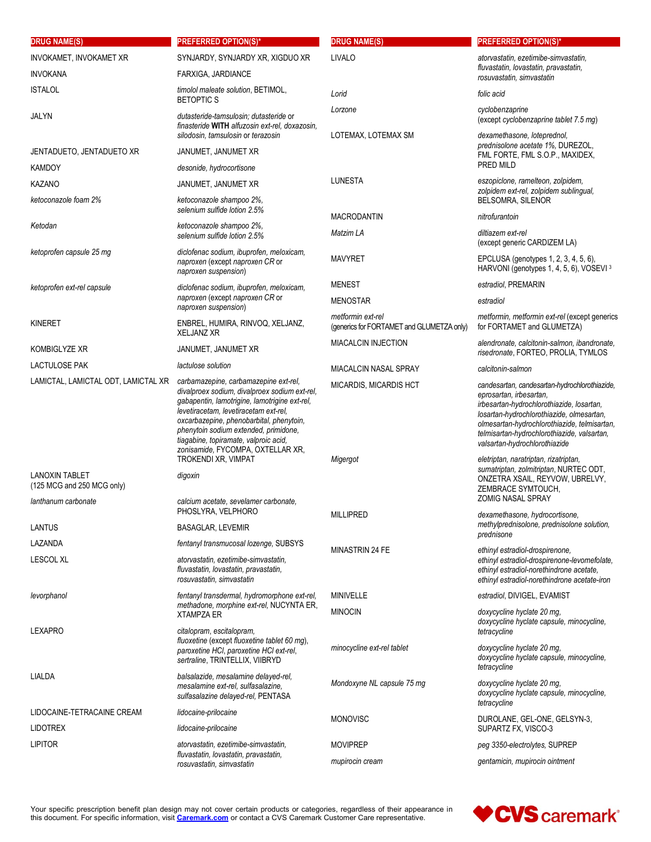| <b>DRUG NAME(S)</b>                                 | <b>PREFERRED OPTION(S)*</b>                                                                                                                                                                                                                                                                                                                         | <b>DRUG NAME(S)</b>                                            | <b>PREFERRED OPTION(S)*</b>                                                                                                                                                                                                                                                                        |
|-----------------------------------------------------|-----------------------------------------------------------------------------------------------------------------------------------------------------------------------------------------------------------------------------------------------------------------------------------------------------------------------------------------------------|----------------------------------------------------------------|----------------------------------------------------------------------------------------------------------------------------------------------------------------------------------------------------------------------------------------------------------------------------------------------------|
| INVOKAMET, INVOKAMET XR                             | SYNJARDY, SYNJARDY XR, XIGDUO XR                                                                                                                                                                                                                                                                                                                    | LIVALO                                                         | atorvastatin, ezetimibe-simvastatin,                                                                                                                                                                                                                                                               |
| <b>INVOKANA</b>                                     | FARXIGA, JARDIANCE                                                                                                                                                                                                                                                                                                                                  |                                                                | fluvastatin, lovastatin, pravastatin,<br>rosuvastatin, simvastatin                                                                                                                                                                                                                                 |
| <b>ISTALOL</b>                                      | timolol maleate solution, BETIMOL,<br><b>BETOPTIC S</b>                                                                                                                                                                                                                                                                                             | Lorid                                                          | folic acid                                                                                                                                                                                                                                                                                         |
| JALYN                                               | dutasteride-tamsulosin; dutasteride or<br>finasteride WITH alfuzosin ext-rel, doxazosin,                                                                                                                                                                                                                                                            | Lorzone                                                        | cyclobenzaprine<br>(except cyclobenzaprine tablet 7.5 mg)                                                                                                                                                                                                                                          |
|                                                     | silodosin, tamsulosin or terazosin                                                                                                                                                                                                                                                                                                                  | LOTEMAX, LOTEMAX SM                                            | dexamethasone, loteprednol,                                                                                                                                                                                                                                                                        |
| JENTADUETO, JENTADUETO XR                           | JANUMET, JANUMET XR                                                                                                                                                                                                                                                                                                                                 |                                                                | prednisolone acetate 1%, DUREZOL,<br>FML FORTE, FML S.O.P., MAXIDEX,                                                                                                                                                                                                                               |
| <b>KAMDOY</b>                                       | desonide, hydrocortisone                                                                                                                                                                                                                                                                                                                            |                                                                | PRED MILD                                                                                                                                                                                                                                                                                          |
| <b>KAZANO</b>                                       | JANUMET, JANUMET XR                                                                                                                                                                                                                                                                                                                                 | LUNESTA                                                        | eszopiclone, ramelteon, zolpidem,<br>zolpidem ext-rel, zolpidem sublingual,                                                                                                                                                                                                                        |
| ketoconazole foam 2%                                | ketoconazole shampoo 2%,<br>selenium sulfide lotion 2.5%                                                                                                                                                                                                                                                                                            | <b>MACRODANTIN</b>                                             | BELSOMRA, SILENOR<br>nitrofurantoin                                                                                                                                                                                                                                                                |
| Ketodan                                             | ketoconazole shampoo 2%,<br>selenium sulfide lotion 2.5%                                                                                                                                                                                                                                                                                            | Matzim LA                                                      | diltiazem ext-rel                                                                                                                                                                                                                                                                                  |
| ketoprofen capsule 25 mg                            | diclofenac sodium, ibuprofen, meloxicam,<br>naproxen (except naproxen CR or<br>naproxen suspension)                                                                                                                                                                                                                                                 | <b>MAVYRET</b>                                                 | (except generic CARDIZEM LA)<br>EPCLUSA (genotypes 1, 2, 3, 4, 5, 6),<br>HARVONI (genotypes 1, 4, 5, 6), VOSEVI 3                                                                                                                                                                                  |
| ketoprofen ext-rel capsule                          | diclofenac sodium, ibuprofen, meloxicam,                                                                                                                                                                                                                                                                                                            | <b>MENEST</b>                                                  | estradiol, PREMARIN                                                                                                                                                                                                                                                                                |
|                                                     | naproxen (except naproxen CR or                                                                                                                                                                                                                                                                                                                     | <b>MENOSTAR</b>                                                | estradiol                                                                                                                                                                                                                                                                                          |
| <b>KINERET</b>                                      | naproxen suspension)<br>ENBREL, HUMIRA, RINVOQ, XELJANZ,<br><b>XELJANZ XR</b>                                                                                                                                                                                                                                                                       | metformin ext-rel<br>(generics for FORTAMET and GLUMETZA only) | metformin, metformin ext-rel (except generics<br>for FORTAMET and GLUMETZA)                                                                                                                                                                                                                        |
| KOMBIGLYZE XR                                       | JANUMET, JANUMET XR                                                                                                                                                                                                                                                                                                                                 | <b>MIACALCIN INJECTION</b>                                     | alendronate, calcitonin-salmon, ibandronate,<br>risedronate, FORTEO, PROLIA, TYMLOS                                                                                                                                                                                                                |
| <b>LACTULOSE PAK</b>                                | lactulose solution                                                                                                                                                                                                                                                                                                                                  | MIACALCIN NASAL SPRAY                                          | calcitonin-salmon                                                                                                                                                                                                                                                                                  |
| LAMICTAL, LAMICTAL ODT, LAMICTAL XR                 | carbamazepine, carbamazepine ext-rel,<br>divalproex sodium, divalproex sodium ext-rel,<br>gabapentin, lamotrigine, lamotrigine ext-rel,<br>levetiracetam, levetiracetam ext-rel,<br>oxcarbazepine, phenobarbital, phenytoin,<br>phenytoin sodium extended, primidone,<br>tiagabine, topiramate, valproic acid,<br>zonisamide, FYCOMPA, OXTELLAR XR, | MICARDIS, MICARDIS HCT                                         | candesartan, candesartan-hydrochlorothiazide,<br>eprosartan, irbesartan,<br>irbesartan-hydrochlorothiazide, losartan,<br>losartan-hydrochlorothiazide, olmesartan,<br>olmesartan-hydrochlorothiazide, telmisartan,<br>telmisartan-hydrochlorothiazide, valsartan,<br>valsartan-hydrochlorothiazide |
| <b>LANOXIN TABLET</b><br>(125 MCG and 250 MCG only) | TROKENDI XR, VIMPAT<br>digoxin                                                                                                                                                                                                                                                                                                                      | Migergot                                                       | eletriptan, naratriptan, rizatriptan,<br>sumatriptan, zolmitriptan, NURTEC ODT,<br>ONZETRA XSAIL, REYVOW, UBRELVY,<br>ZEMBRACE SYMTOUCH,                                                                                                                                                           |
| lanthanum carbonate                                 | calcium acetate, sevelamer carbonate,<br>PHOSLYRA, VELPHORO                                                                                                                                                                                                                                                                                         | <b>MILLIPRED</b>                                               | <b>ZOMIG NASAL SPRAY</b><br>dexamethasone, hydrocortisone,                                                                                                                                                                                                                                         |
| LANTUS                                              | <b>BASAGLAR, LEVEMIR</b>                                                                                                                                                                                                                                                                                                                            |                                                                | methylprednisolone, prednisolone solution,<br>prednisone                                                                                                                                                                                                                                           |
| LAZANDA                                             | fentanyl transmucosal lozenge, SUBSYS                                                                                                                                                                                                                                                                                                               | <b>MINASTRIN 24 FE</b>                                         | ethinyl estradiol-drospirenone,                                                                                                                                                                                                                                                                    |
| <b>LESCOL XL</b>                                    | atorvastatin, ezetimibe-simvastatin,<br>fluvastatin, lovastatin, pravastatin,<br>rosuvastatin, simvastatin                                                                                                                                                                                                                                          |                                                                | ethinyl estradiol-drospirenone-levomefolate,<br>ethinyl estradiol-norethindrone acetate,<br>ethinyl estradiol-norethindrone acetate-iron                                                                                                                                                           |
| levorphanol                                         | fentanyl transdermal, hydromorphone ext-rel,                                                                                                                                                                                                                                                                                                        | MINIVELLE                                                      | estradiol, DIVIGEL, EVAMIST                                                                                                                                                                                                                                                                        |
|                                                     | methadone, morphine ext-rel, NUCYNTA ER,<br><b>XTAMPZA ER</b>                                                                                                                                                                                                                                                                                       | <b>MINOCIN</b>                                                 | doxycycline hyclate 20 mg.<br>doxycycline hyclate capsule, minocycline,                                                                                                                                                                                                                            |
| LEXAPRO                                             | citalopram, escitalopram,<br>fluoxetine (except fluoxetine tablet 60 mg),<br>paroxetine HCI, paroxetine HCI ext-rel,<br>sertraline, TRINTELLIX, VIIBRYD                                                                                                                                                                                             | minocycline ext-rel tablet                                     | tetracycline<br>doxycycline hyclate 20 mg,<br>doxycycline hyclate capsule, minocycline,<br>tetracycline                                                                                                                                                                                            |
| LIALDA                                              | balsalazide, mesalamine delayed-rel,<br>mesalamine ext-rel, sulfasalazine,<br>sulfasalazine delayed-rel, PENTASA                                                                                                                                                                                                                                    | Mondoxyne NL capsule 75 mg                                     | doxycycline hyclate 20 mg,<br>doxycycline hyclate capsule, minocycline,<br>tetracycline                                                                                                                                                                                                            |
| LIDOCAINE-TETRACAINE CREAM                          | lidocaine-prilocaine                                                                                                                                                                                                                                                                                                                                | <b>MONOVISC</b>                                                | DUROLANE, GEL-ONE, GELSYN-3,                                                                                                                                                                                                                                                                       |
| <b>LIDOTREX</b>                                     | lidocaine-prilocaine                                                                                                                                                                                                                                                                                                                                |                                                                | SUPARTZ FX, VISCO-3                                                                                                                                                                                                                                                                                |
| <b>LIPITOR</b>                                      | atorvastatin, ezetimibe-simvastatin,<br>fluvastatin, lovastatin, pravastatin,<br>rosuvastatin, simvastatin                                                                                                                                                                                                                                          | <b>MOVIPREP</b>                                                | peg 3350-electrolytes, SUPREP                                                                                                                                                                                                                                                                      |
|                                                     |                                                                                                                                                                                                                                                                                                                                                     | mupirocin cream                                                | gentamicin, mupirocin ointment                                                                                                                                                                                                                                                                     |

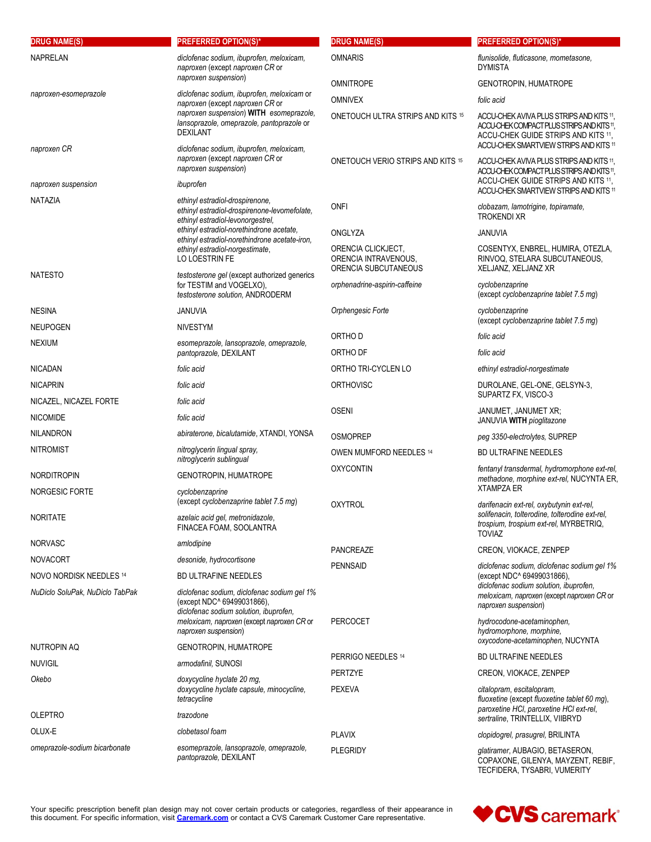| <b>DRUG NAME(S)</b>             | <b>PREFERRED OPTION(S)*</b>                                                                                                                                       | <b>DRUG NAME(S)</b>                                                | <b>PREFERRED OPTION(S)*</b>                                                                                                                                             |
|---------------------------------|-------------------------------------------------------------------------------------------------------------------------------------------------------------------|--------------------------------------------------------------------|-------------------------------------------------------------------------------------------------------------------------------------------------------------------------|
| <b>NAPRELAN</b>                 | diclofenac sodium, ibuprofen, meloxicam,<br>naproxen (except naproxen CR or                                                                                       | <b>OMNARIS</b>                                                     | flunisolide, fluticasone, mometasone,<br><b>DYMISTA</b>                                                                                                                 |
|                                 | naproxen suspension)                                                                                                                                              | <b>OMNITROPE</b>                                                   | <b>GENOTROPIN, HUMATROPE</b>                                                                                                                                            |
| naproxen-esomeprazole           | diclofenac sodium, ibuprofen, meloxicam or<br>naproxen (except naproxen CR or                                                                                     | <b>OMNIVEX</b>                                                     | folic acid                                                                                                                                                              |
|                                 | naproxen suspension) WITH esomeprazole,<br>lansoprazole, omeprazole, pantoprazole or<br><b>DEXILANT</b>                                                           | ONETOUCH ULTRA STRIPS AND KITS 15                                  | ACCU-CHEK AVIVA PLUS STRIPS AND KITS 11.<br>ACCU-CHEK COMPACT PLUS STRIPS AND KITS 11,<br>ACCU-CHEK GUIDE STRIPS AND KITS 11,<br>ACCU-CHEK SMARTVIEW STRIPS AND KITS 11 |
| naproxen CR                     | diclofenac sodium, ibuprofen, meloxicam,<br>naproxen (except naproxen CR or<br>naproxen suspension)                                                               | ONETOUCH VERIO STRIPS AND KITS 15                                  | ACCU-CHEK AVIVA PLUS STRIPS AND KITS 11,<br>ACCU-CHEK COMPACT PLUS STRIPS AND KITS 11.                                                                                  |
| naproxen suspension             | ibuprofen                                                                                                                                                         |                                                                    | ACCU-CHEK GUIDE STRIPS AND KITS 11,<br>ACCU-CHEK SMARTVIEW STRIPS AND KITS 11                                                                                           |
| <b>NATAZIA</b>                  | ethinyl estradiol-drospirenone,<br>ethinyl estradiol-drospirenone-levomefolate,<br>ethinyl estradiol-levonorgestrel,                                              | <b>ONFI</b>                                                        | clobazam, lamotrigine, topiramate,<br><b>TROKENDI XR</b>                                                                                                                |
|                                 | ethinyl estradiol-norethindrone acetate,<br>ethinyl estradiol-norethindrone acetate-iron,                                                                         | ONGLYZA                                                            | <b>JANUVIA</b>                                                                                                                                                          |
|                                 | ethinyl estradiol-norgestimate,<br>LO LOESTRIN FE                                                                                                                 | ORENCIA CLICKJECT,<br>ORENCIA INTRAVENOUS,<br>ORENCIA SUBCUTANEOUS | COSENTYX, ENBREL, HUMIRA, OTEZLA,<br>RINVOQ, STELARA SUBCUTANEOUS,<br>XELJANZ, XELJANZ XR                                                                               |
| <b>NATESTO</b>                  | testosterone gel (except authorized generics<br>for TESTIM and VOGELXO),<br>testosterone solution, ANDRODERM                                                      | orphenadrine-aspirin-caffeine                                      | cyclobenzaprine<br>(except cyclobenzaprine tablet 7.5 mg)                                                                                                               |
| <b>NESINA</b>                   | <b>JANUVIA</b>                                                                                                                                                    | Orphengesic Forte                                                  | cyclobenzaprine                                                                                                                                                         |
| <b>NEUPOGEN</b>                 | <b>NIVESTYM</b>                                                                                                                                                   | ORTHO D                                                            | (except cyclobenzaprine tablet 7.5 mg)<br>folic acid                                                                                                                    |
| <b>NEXIUM</b>                   | esomeprazole, lansoprazole, omeprazole,<br>pantoprazole, DEXILANT                                                                                                 | ORTHO DF                                                           | folic acid                                                                                                                                                              |
| <b>NICADAN</b>                  | folic acid                                                                                                                                                        | ORTHO TRI-CYCLEN LO                                                | ethinyl estradiol-norgestimate                                                                                                                                          |
| <b>NICAPRIN</b>                 | folic acid                                                                                                                                                        | <b>ORTHOVISC</b>                                                   | DUROLANE, GEL-ONE, GELSYN-3,                                                                                                                                            |
| NICAZEL, NICAZEL FORTE          | folic acid                                                                                                                                                        |                                                                    | SUPARTZ FX, VISCO-3                                                                                                                                                     |
| <b>NICOMIDE</b>                 | folic acid                                                                                                                                                        | <b>OSENI</b>                                                       | JANUMET, JANUMET XR;<br>JANUVIA WITH pioglitazone                                                                                                                       |
| <b>NILANDRON</b>                | abiraterone, bicalutamide, XTANDI, YONSA                                                                                                                          | <b>OSMOPREP</b>                                                    | peg 3350-electrolytes, SUPREP                                                                                                                                           |
| <b>NITROMIST</b>                | nitroglycerin lingual spray.                                                                                                                                      | OWEN MUMFORD NEEDLES 14                                            | <b>BD ULTRAFINE NEEDLES</b>                                                                                                                                             |
|                                 | nitroglycerin sublingual                                                                                                                                          | <b>OXYCONTIN</b>                                                   | fentanyl transdermal, hydromorphone ext-rel,                                                                                                                            |
| <b>NORDITROPIN</b>              | <b>GENOTROPIN, HUMATROPE</b>                                                                                                                                      |                                                                    | methadone, morphine ext-rel, NUCYNTA ER,<br><b>XTAMPZA ER</b>                                                                                                           |
| <b>NORGESIC FORTE</b>           | cyclobenzaprine<br>(except cyclobenzaprine tablet 7.5 mg)                                                                                                         | <b>OXYTROL</b>                                                     | darifenacin ext-rel, oxybutynin ext-rel,                                                                                                                                |
| <b>NORITATE</b>                 | azelaic acid gel, metronidazole,<br>FINACEA FOAM, SOOLANTRA                                                                                                       |                                                                    | solifenacin, tolterodine, tolterodine ext-rel,<br>trospium, trospium ext-rel, MYRBETRIQ,<br>TOVIA7                                                                      |
| <b>NORVASC</b>                  | amlodipine                                                                                                                                                        | <b>PANCREAZE</b>                                                   | CREON, VIOKACE, ZENPEP                                                                                                                                                  |
| <b>NOVACORT</b>                 | desonide, hydrocortisone                                                                                                                                          | <b>PENNSAID</b>                                                    | diclofenac sodium, diclofenac sodium gel 1%                                                                                                                             |
| NOVO NORDISK NEEDLES 14         | <b>BD ULTRAFINE NEEDLES</b>                                                                                                                                       |                                                                    | (except NDC^ 69499031866),<br>diclofenac sodium solution, ibuprofen,                                                                                                    |
| NuDiclo SoluPak, NuDiclo TabPak | diclofenac sodium, diclofenac sodium gel 1%<br>(except NDC^ 69499031866),<br>diclofenac sodium solution, ibuprofen,<br>meloxicam, naproxen (except naproxen CR or | PERCOCET                                                           | meloxicam, naproxen (except naproxen CR or<br>naproxen suspension)<br>hydrocodone-acetaminophen,                                                                        |
|                                 | naproxen suspension)                                                                                                                                              |                                                                    | hydromorphone, morphine,<br>oxycodone-acetaminophen, NUCYNTA                                                                                                            |
| NUTROPIN AQ                     | GENOTROPIN, HUMATROPE                                                                                                                                             | PERRIGO NEEDLES 14                                                 | <b>BD ULTRAFINE NEEDLES</b>                                                                                                                                             |
| <b>NUVIGIL</b><br>Okebo         | armodafinil, SUNOSI<br>doxycycline hyclate 20 mg,                                                                                                                 | PERTZYE                                                            | CREON, VIOKACE, ZENPEP                                                                                                                                                  |
|                                 | doxycycline hyclate capsule, minocycline,<br>tetracycline                                                                                                         | <b>PEXEVA</b>                                                      | citalopram, escitalopram,<br>fluoxetine (except fluoxetine tablet 60 mg),<br>paroxetine HCI, paroxetine HCI ext-rel,                                                    |
| <b>OLEPTRO</b>                  | trazodone                                                                                                                                                         |                                                                    | sertraline, TRINTELLIX, VIIBRYD                                                                                                                                         |
| OLUX-E                          | clobetasol foam                                                                                                                                                   | <b>PLAVIX</b>                                                      | clopidogrel, prasugrel, BRILINTA                                                                                                                                        |
| omeprazole-sodium bicarbonate   | esomeprazole, lansoprazole, omeprazole,<br>pantoprazole, DEXILANT                                                                                                 | <b>PLEGRIDY</b>                                                    | glatiramer, AUBAGIO, BETASERON,<br>COPAXONE, GILENYA, MAYZENT, REBIF,<br>TECFIDERA, TYSABRI, VUMERITY                                                                   |

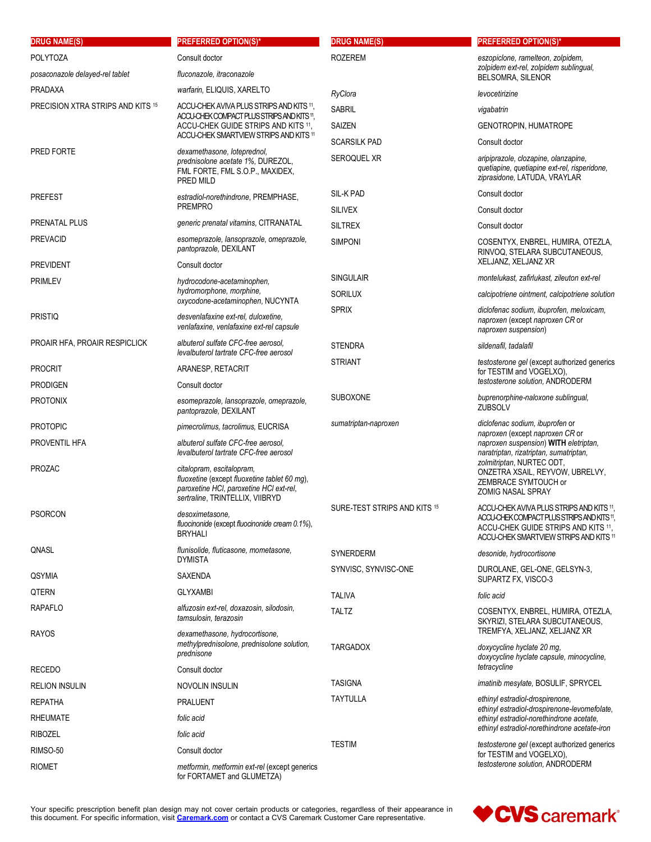| <b>DRUG NAME(S)</b>               | <b>PREFERRED OPTION(S)*</b>                                                                                                                             | <b>DRUG NAME(S)</b>          | <b>PREFERRED OPTION(S)*</b>                                                                                                                                             |
|-----------------------------------|---------------------------------------------------------------------------------------------------------------------------------------------------------|------------------------------|-------------------------------------------------------------------------------------------------------------------------------------------------------------------------|
| <b>POLYTOZA</b>                   | Consult doctor                                                                                                                                          | <b>ROZEREM</b>               | eszopiclone, ramelteon, zolpidem,                                                                                                                                       |
| posaconazole delayed-rel tablet   | fluconazole, itraconazole                                                                                                                               |                              | zolpidem ext-rel, zolpidem sublingual,<br><b>BELSOMRA, SILENOR</b>                                                                                                      |
| <b>PRADAXA</b>                    | warfarin, ELIQUIS, XARELTO                                                                                                                              | RyClora                      | levocetirizine                                                                                                                                                          |
| PRECISION XTRA STRIPS AND KITS 15 | ACCU-CHEK AVIVA PLUS STRIPS AND KITS 11,                                                                                                                | <b>SABRIL</b>                | vigabatrin                                                                                                                                                              |
|                                   | ACCU-CHEK COMPACT PLUS STRIPS AND KITS 11.<br>ACCU-CHEK GUIDE STRIPS AND KITS 11,                                                                       | SAIZEN                       | GENOTROPIN, HUMATROPE                                                                                                                                                   |
|                                   | ACCU-CHEK SMARTVIEW STRIPS AND KITS 11                                                                                                                  | <b>SCARSILK PAD</b>          | Consult doctor                                                                                                                                                          |
| PRED FORTE                        | dexamethasone, loteprednol,<br>prednisolone acetate 1%, DUREZOL,<br>FML FORTE, FML S.O.P., MAXIDEX,<br>PRED MILD                                        | SEROQUEL XR                  | aripiprazole, clozapine, olanzapine,<br>quetiapine, quetiapine ext-rel, risperidone,<br>ziprasidone, LATUDA, VRAYLAR                                                    |
| <b>PREFEST</b>                    | estradiol-norethindrone, PREMPHASE,                                                                                                                     | <b>SIL-K PAD</b>             | Consult doctor                                                                                                                                                          |
|                                   | PREMPRO                                                                                                                                                 | <b>SILIVEX</b>               | Consult doctor                                                                                                                                                          |
| PRENATAL PLUS                     | generic prenatal vitamins, CITRANATAL                                                                                                                   | <b>SILTREX</b>               | Consult doctor                                                                                                                                                          |
| PREVACID                          | esomeprazole, lansoprazole, omeprazole,<br>pantoprazole, DEXILANT                                                                                       | <b>SIMPONI</b>               | COSENTYX, ENBREL, HUMIRA, OTEZLA,<br>RINVOQ, STELARA SUBCUTANEOUS,<br>XELJANZ, XELJANZ XR                                                                               |
| <b>PREVIDENT</b>                  | Consult doctor                                                                                                                                          | <b>SINGULAIR</b>             | montelukast, zafirlukast, zileuton ext-rel                                                                                                                              |
| <b>PRIMLEV</b>                    | hydrocodone-acetaminophen.<br>hydromorphone, morphine,                                                                                                  | <b>SORILUX</b>               | calcipotriene ointment, calcipotriene solution                                                                                                                          |
|                                   | oxycodone-acetaminophen, NUCYNTA                                                                                                                        | <b>SPRIX</b>                 | diclofenac sodium, ibuprofen, meloxicam,                                                                                                                                |
| <b>PRISTIQ</b>                    | desvenlafaxine ext-rel, duloxetine,<br>venlafaxine, venlafaxine ext-rel capsule                                                                         |                              | naproxen (except naproxen CR or<br>naproxen suspension)                                                                                                                 |
| PROAIR HFA, PROAIR RESPICLICK     | albuterol sulfate CFC-free aerosol.<br>levalbuterol tartrate CFC-free aerosol                                                                           | <b>STENDRA</b>               | sildenafil, tadalafil                                                                                                                                                   |
| <b>PROCRIT</b>                    | ARANESP, RETACRIT                                                                                                                                       | <b>STRIANT</b>               | testosterone gel (except authorized generics<br>for TESTIM and VOGELXO),                                                                                                |
| <b>PRODIGEN</b>                   | Consult doctor                                                                                                                                          |                              | testosterone solution, ANDRODERM                                                                                                                                        |
| <b>PROTONIX</b>                   | esomeprazole, lansoprazole, omeprazole,<br>pantoprazole, DEXILANT                                                                                       | <b>SUBOXONE</b>              | buprenorphine-naloxone sublingual,<br><b>ZUBSOLV</b>                                                                                                                    |
| <b>PROTOPIC</b>                   | pimecrolimus, tacrolimus, EUCRISA                                                                                                                       | sumatriptan-naproxen         | diclofenac sodium, ibuprofen or<br>naproxen (except naproxen CR or                                                                                                      |
| PROVENTIL HFA                     | albuterol sulfate CFC-free aerosol.<br>levalbuterol tartrate CFC-free aerosol                                                                           |                              | naproxen suspension) WITH eletriptan,<br>naratriptan, rizatriptan, sumatriptan,                                                                                         |
| <b>PROZAC</b>                     | citalopram, escitalopram,<br>fluoxetine (except fluoxetine tablet 60 mg),<br>paroxetine HCI, paroxetine HCI ext-rel,<br>sertraline, TRINTELLIX, VIIBRYD |                              | zolmitriptan, NURTEC ODT,<br>ONZETRA XSAIL, REYVOW, UBRELVY,<br>ZEMBRACE SYMTOUCH or<br>ZOMIG NASAL SPRAY                                                               |
| <b>PSORCON</b>                    | desoximetasone,<br>fluocinonide (except fluocinonide cream 0.1%),<br><b>BRYHALI</b>                                                                     | SURE-TEST STRIPS AND KITS 15 | ACCU-CHEK AVIVA PLUS STRIPS AND KITS 11,<br>ACCU-CHEK COMPACT PLUS STRIPS AND KITS 11,<br>ACCU-CHEK GUIDE STRIPS AND KITS 11.<br>ACCU-CHEK SMARTVIEW STRIPS AND KITS 11 |
| QNASL                             | flunisolide, fluticasone, mometasone,<br><b>DYMISTA</b>                                                                                                 | <b>SYNERDERM</b>             | desonide, hydrocortisone                                                                                                                                                |
| QSYMIA                            | <b>SAXENDA</b>                                                                                                                                          | SYNVISC, SYNVISC-ONE         | DUROLANE, GEL-ONE, GELSYN-3,<br>SUPARTZ FX, VISCO-3                                                                                                                     |
| QTERN                             | <b>GLYXAMBI</b>                                                                                                                                         | <b>TALIVA</b>                | folic acid                                                                                                                                                              |
| RAPAFLO                           | alfuzosin ext-rel, doxazosin, silodosin,<br>tamsulosin, terazosin                                                                                       | TALTZ                        | COSENTYX, ENBREL, HUMIRA, OTEZLA,<br>SKYRIZI, STELARA SUBCUTANEOUS,                                                                                                     |
| RAYOS                             | dexamethasone, hydrocortisone,<br>methylprednisolone, prednisolone solution,<br>prednisone                                                              | <b>TARGADOX</b>              | TREMFYA, XELJANZ, XELJANZ XR<br>doxycycline hyclate 20 mg,<br>doxycycline hyclate capsule, minocycline,                                                                 |
| <b>RECEDO</b>                     | Consult doctor                                                                                                                                          |                              | tetracycline                                                                                                                                                            |
| <b>RELION INSULIN</b>             | NOVOLIN INSULIN                                                                                                                                         | <b>TASIGNA</b>               | imatinib mesylate, BOSULIF, SPRYCEL                                                                                                                                     |
| <b>REPATHA</b>                    | <b>PRALUENT</b>                                                                                                                                         | <b>TAYTULLA</b>              | ethinyl estradiol-drospirenone,<br>ethinyl estradiol-drospirenone-levomefolate,                                                                                         |
| <b>RHEUMATE</b>                   | folic acid                                                                                                                                              |                              | ethinyl estradiol-norethindrone acetate,                                                                                                                                |
| RIBOZEL                           | folic acid                                                                                                                                              |                              | ethinyl estradiol-norethindrone acetate-iron                                                                                                                            |
| RIMSO-50                          | Consult doctor                                                                                                                                          | <b>TESTIM</b>                | testosterone gel (except authorized generics<br>for TESTIM and VOGELXO),                                                                                                |
| RIOMET                            | metformin, metformin ext-rel (except generics<br>for FORTAMET and GLUMETZA)                                                                             |                              | testosterone solution, ANDRODERM                                                                                                                                        |

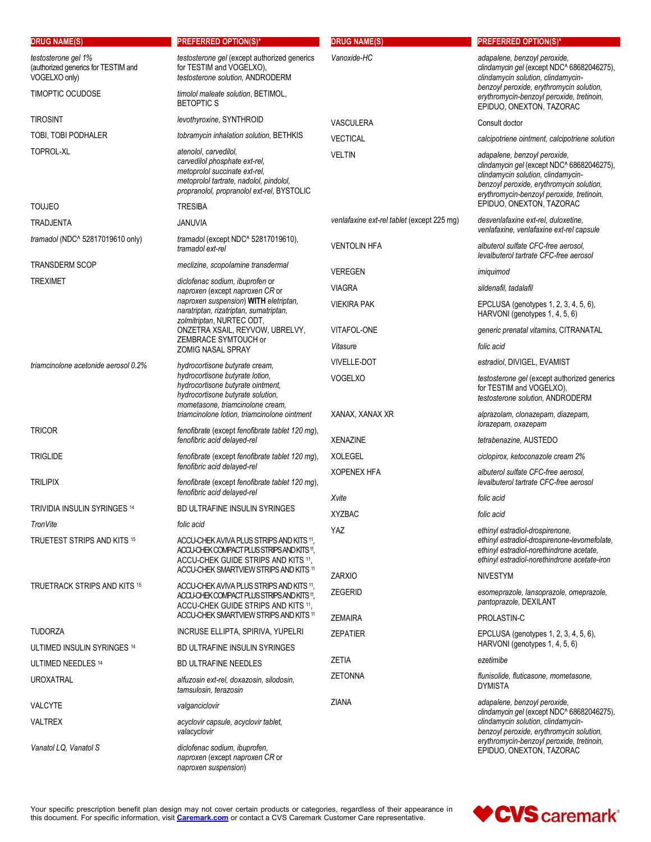| <b>DRUG NAME(S)</b>                                                         | <b>PREFERRED OPTION(S)*</b>                                                                                                                                                      | <b>DRUG NAME(S)</b>                        | <b>PREFERRED OPTION(S)*</b>                                                                                                                                                                               |
|-----------------------------------------------------------------------------|----------------------------------------------------------------------------------------------------------------------------------------------------------------------------------|--------------------------------------------|-----------------------------------------------------------------------------------------------------------------------------------------------------------------------------------------------------------|
| testosterone gel 1%<br>(authorized generics for TESTIM and<br>VOGELXO only) | testosterone gel (except authorized generics<br>for TESTIM and VOGELXO),<br>testosterone solution, ANDRODERM                                                                     | Vanoxide-HC                                | adapalene, benzoyl peroxide,<br>clindamycin gel (except NDC^ 68682046275),<br>clindamycin solution, clindamycin-<br>benzoyl peroxide, erythromycin solution,                                              |
| <b>TIMOPTIC OCUDOSE</b>                                                     | timolol maleate solution, BETIMOL,<br><b>BETOPTICS</b>                                                                                                                           |                                            | erythromycin-benzoyl peroxide, tretinoin,<br>EPIDUO, ONEXTON, TAZORAC                                                                                                                                     |
| <b>TIROSINT</b>                                                             | levothyroxine, SYNTHROID                                                                                                                                                         | <b>VASCULERA</b>                           | Consult doctor                                                                                                                                                                                            |
| TOBI, TOBI PODHALER                                                         | tobramycin inhalation solution, BETHKIS                                                                                                                                          | <b>VECTICAL</b>                            | calcipotriene ointment, calcipotriene solution                                                                                                                                                            |
| TOPROL-XL                                                                   | atenolol, carvedilol,<br>carvedilol phosphate ext-rel,<br>metoprolol succinate ext-rel.<br>metoprolol tartrate, nadolol, pindolol,<br>propranolol, propranolol ext-rel, BYSTOLIC | <b>VELTIN</b>                              | adapalene, benzoyl peroxide,<br>clindamycin gel (except NDC^ 68682046275),<br>clindamycin solution, clindamycin-<br>benzoyl peroxide, erythromycin solution,<br>erythromycin-benzoyl peroxide, tretinoin, |
| <b>TOUJEO</b>                                                               | <b>TRESIBA</b>                                                                                                                                                                   |                                            | EPIDUO, ONEXTON, TAZORAC                                                                                                                                                                                  |
| TRADJENTA                                                                   | <b>JANUVIA</b>                                                                                                                                                                   | venlafaxine ext-rel tablet (except 225 mg) | desvenlafaxine ext-rel, duloxetine,<br>venlafaxine, venlafaxine ext-rel capsule                                                                                                                           |
| tramadol (NDC^ 52817019610 only)                                            | tramadol (except NDC^ 52817019610),<br>tramadol ext-rel                                                                                                                          | <b>VENTOLIN HFA</b>                        | albuterol sulfate CFC-free aerosol.<br>levalbuterol tartrate CFC-free aerosol                                                                                                                             |
| <b>TRANSDERM SCOP</b>                                                       | meclizine, scopolamine transdermal                                                                                                                                               | <b>VEREGEN</b>                             | imiquimod                                                                                                                                                                                                 |
| <b>TREXIMET</b>                                                             | diclofenac sodium, ibuprofen or<br>naproxen (except naproxen CR or                                                                                                               | <b>VIAGRA</b>                              | sildenafil, tadalafil                                                                                                                                                                                     |
|                                                                             | naproxen suspension) WITH eletriptan.<br>naratriptan, rizatriptan, sumatriptan,<br>zolmitriptan, NURTEC ODT,                                                                     | <b>VIEKIRA PAK</b>                         | EPCLUSA (genotypes 1, 2, 3, 4, 5, 6),<br>HARVONI (genotypes 1, 4, 5, 6)                                                                                                                                   |
|                                                                             | ONZETRA XSAIL, REYVOW, UBRELVY,                                                                                                                                                  | VITAFOL-ONE                                | generic prenatal vitamins, CITRANATAL                                                                                                                                                                     |
|                                                                             | ZEMBRACE SYMTOUCH or<br><b>ZOMIG NASAL SPRAY</b>                                                                                                                                 | Vitasure                                   | folic acid                                                                                                                                                                                                |
| triamcinolone acetonide aerosol 0.2%                                        | hydrocortisone butyrate cream,                                                                                                                                                   | <b>VIVELLE-DOT</b>                         | estradiol, DIVIGEL, EVAMIST                                                                                                                                                                               |
|                                                                             | hydrocortisone butyrate lotion,<br>hydrocortisone butyrate ointment,<br>hydrocortisone butyrate solution,<br>mometasone, triamcinolone cream,                                    | <b>VOGELXO</b>                             | testosterone gel (except authorized generics<br>for TESTIM and VOGELXO),<br>testosterone solution, ANDRODERM                                                                                              |
| <b>TRICOR</b>                                                               | triamcinolone lotion, triamcinolone ointment<br>fenofibrate (except fenofibrate tablet 120 mg),                                                                                  | XANAX, XANAX XR                            | alprazolam, clonazepam, diazepam,<br>lorazepam, oxazepam                                                                                                                                                  |
|                                                                             | fenofibric acid delayed-rel                                                                                                                                                      | <b>XENAZINE</b>                            | tetrabenazine, AUSTEDO                                                                                                                                                                                    |
| <b>TRIGLIDE</b>                                                             | fenofibrate (except fenofibrate tablet 120 mg),                                                                                                                                  | <b>XOLEGEL</b>                             | ciclopirox, ketoconazole cream 2%                                                                                                                                                                         |
| <b>TRILIPIX</b>                                                             | fenofibric acid delayed-rel<br>fenofibrate (except fenofibrate tablet 120 mg),<br>fenofibric acid delayed-rel                                                                    | <b>XOPENEX HFA</b>                         | albuterol sulfate CFC-free aerosol.<br>levalbuterol tartrate CFC-free aerosol                                                                                                                             |
| TRIVIDIA INSULIN SYRINGES 14                                                | BD ULTRAFINE INSULIN SYRINGES                                                                                                                                                    | Xvite                                      | folic acid                                                                                                                                                                                                |
| TronVite                                                                    | folic acid                                                                                                                                                                       | <b>XYZBAC</b>                              | folic acid                                                                                                                                                                                                |
| TRUETEST STRIPS AND KITS 15                                                 | ACCU-CHEK AVIVA PLUS STRIPS AND KITS 11,<br>ACCU-CHEK COMPACT PLUS STRIPS AND KITS 11,<br>ACCU-CHEK GUIDE STRIPS AND KITS 11.<br>ACCU-CHEK SMARTVIEW STRIPS AND KITS 11          | YAZ                                        | ethinyl estradiol-drospirenone,<br>ethinyl estradiol-drospirenone-levomefolate,<br>ethinyl estradiol-norethindrone acetate,<br>ethinyl estradiol-norethindrone acetate-iron                               |
| <b>TRUETRACK STRIPS AND KITS 15</b>                                         | ACCU-CHEK AVIVA PLUS STRIPS AND KITS 11,                                                                                                                                         | ZARXIO                                     | <b>NIVESTYM</b>                                                                                                                                                                                           |
|                                                                             | ACCU-CHEK COMPACT PLUS STRIPS AND KITS 11,<br>ACCU-CHEK GUIDE STRIPS AND KITS 11,<br>ACCU-CHEK SMARTVIEW STRIPS AND KITS 11                                                      | <b>ZEGERID</b>                             | esomeprazole, lansoprazole, omeprazole,<br>pantoprazole, DEXILANT                                                                                                                                         |
| <b>TUDORZA</b>                                                              | INCRUSE ELLIPTA, SPIRIVA, YUPELRI                                                                                                                                                | <b>ZEMAIRA</b>                             | PROLASTIN-C                                                                                                                                                                                               |
| ULTIMED INSULIN SYRINGES 14                                                 | BD ULTRAFINE INSULIN SYRINGES                                                                                                                                                    | <b>ZEPATIER</b>                            | EPCLUSA (genotypes 1, 2, 3, 4, 5, 6),<br>HARVONI (genotypes 1, 4, 5, 6)                                                                                                                                   |
| ULTIMED NEEDLES 14                                                          | <b>BD ULTRAFINE NEEDLES</b>                                                                                                                                                      | <b>ZETIA</b>                               | ezetimibe                                                                                                                                                                                                 |
| <b>UROXATRAL</b>                                                            | alfuzosin ext-rel, doxazosin, silodosin,<br>tamsulosin, terazosin                                                                                                                | <b>ZETONNA</b>                             | flunisolide, fluticasone, mometasone,<br><b>DYMISTA</b>                                                                                                                                                   |
| <b>VALCYTE</b>                                                              | valganciclovir                                                                                                                                                                   | ZIANA                                      | adapalene, benzoyl peroxide,                                                                                                                                                                              |
| <b>VALTREX</b>                                                              | acyclovir capsule, acyclovir tablet,<br>valacyclovir                                                                                                                             |                                            | clindamycin gel (except NDC^ 68682046275),<br>clindamycin solution, clindamycin-<br>benzoyl peroxide, erythromycin solution,                                                                              |
| Vanatol LQ, Vanatol S                                                       | diclofenac sodium, ibuprofen,<br>naproxen (except naproxen CR or<br>naproxen suspension)                                                                                         |                                            | erythromycin-benzoyl peroxide, tretinoin,<br>EPIDUO, ONEXTON, TAZORAC                                                                                                                                     |

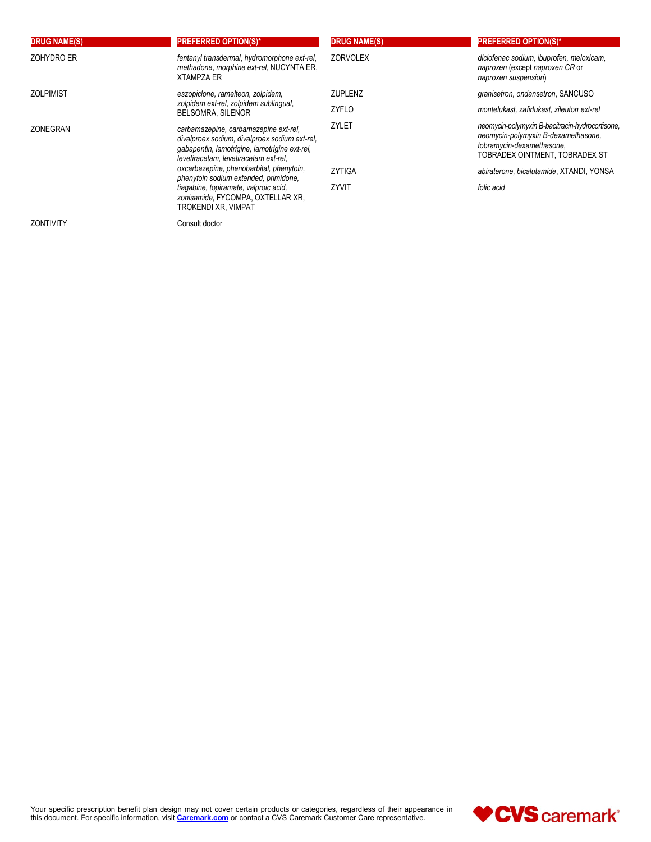| <b>DRUG NAME(S)</b> | <b>PREFERRED OPTION(S)*</b>                                                                                                                                                      | <b>DRUG NAME(S)</b> | <b>PREFERRED OPTION(S)*</b>                                                                                                                           |
|---------------------|----------------------------------------------------------------------------------------------------------------------------------------------------------------------------------|---------------------|-------------------------------------------------------------------------------------------------------------------------------------------------------|
| ZOHYDRO ER          | fentanyl transdermal, hydromorphone ext-rel,<br>methadone, morphine ext-rel, NUCYNTA ER,<br><b>XTAMPZA ER</b>                                                                    | <b>ZORVOLEX</b>     | diclofenac sodium, ibuprofen, meloxicam,<br>naproxen (except naproxen CR or<br>naproxen suspension)                                                   |
| <b>ZOLPIMIST</b>    | eszopiclone, ramelteon, zolpidem,                                                                                                                                                | <b>ZUPLENZ</b>      | granisetron, ondansetron, SANCUSO                                                                                                                     |
|                     | zolpidem ext-rel, zolpidem sublingual,<br><b>BELSOMRA, SILENOR</b>                                                                                                               | ZYFLO               | montelukast, zafirlukast, zileuton ext-rel                                                                                                            |
| ZONEGRAN            | carbamazepine, carbamazepine ext-rel,<br>divalproex sodium, divalproex sodium ext-rel,<br>gabapentin, lamotrigine, lamotrigine ext-rel,<br>levetiracetam, levetiracetam ext-rel, | ZYLET               | neomycin-polymyxin B-bacitracin-hydrocortisone,<br>neomycin-polymyxin B-dexamethasone,<br>tobramycin-dexamethasone.<br>TOBRADEX OINTMENT, TOBRADEX ST |
|                     | oxcarbazepine, phenobarbital, phenytoin,<br>phenytoin sodium extended, primidone,                                                                                                | <b>ZYTIGA</b>       | abiraterone, bicalutamide, XTANDI, YONSA                                                                                                              |
|                     | tiagabine, topiramate, valproic acid,<br>zonisamide, FYCOMPA, OXTELLAR XR,<br>TROKENDI XR, VIMPAT                                                                                | ZYVIT               | folic acid                                                                                                                                            |
| <b>ZONTIVITY</b>    | Consult doctor                                                                                                                                                                   |                     |                                                                                                                                                       |